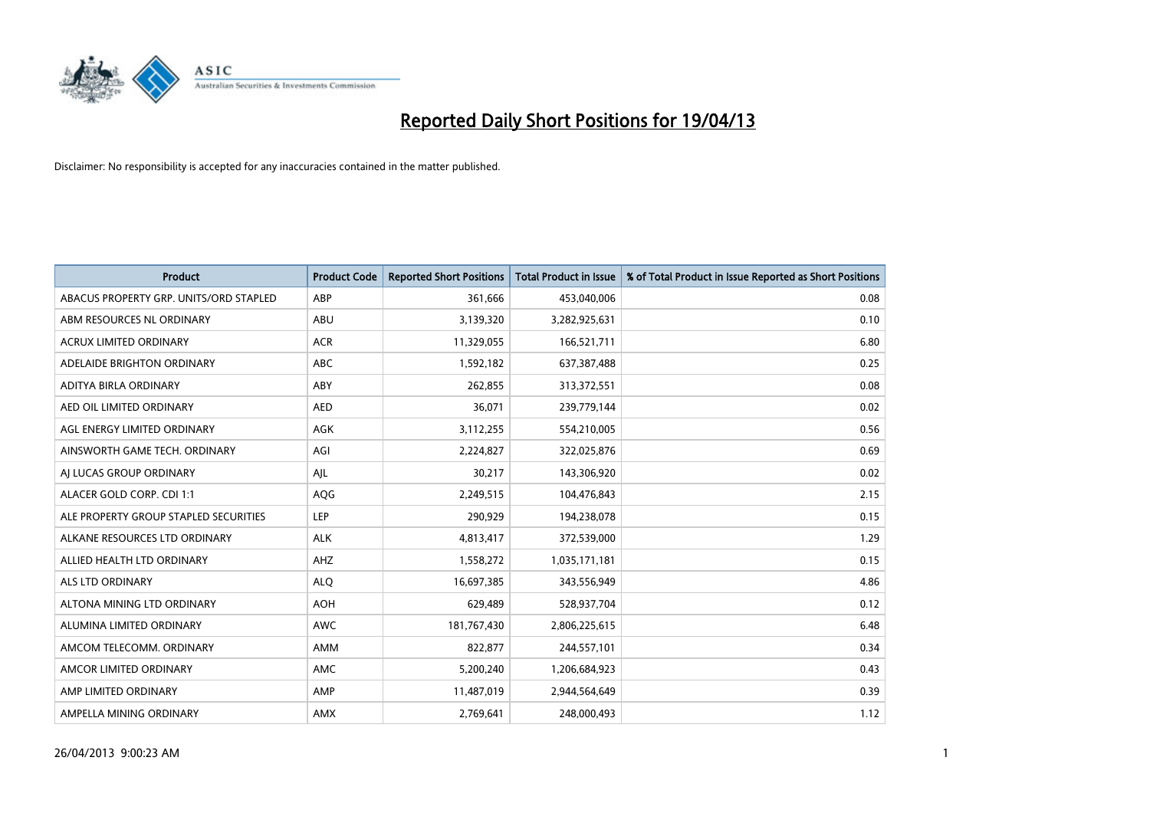

| <b>Product</b>                         | <b>Product Code</b> | <b>Reported Short Positions</b> | Total Product in Issue | % of Total Product in Issue Reported as Short Positions |
|----------------------------------------|---------------------|---------------------------------|------------------------|---------------------------------------------------------|
| ABACUS PROPERTY GRP. UNITS/ORD STAPLED | ABP                 | 361,666                         | 453,040,006            | 0.08                                                    |
| ABM RESOURCES NL ORDINARY              | ABU                 | 3,139,320                       | 3,282,925,631          | 0.10                                                    |
| <b>ACRUX LIMITED ORDINARY</b>          | <b>ACR</b>          | 11,329,055                      | 166,521,711            | 6.80                                                    |
| ADELAIDE BRIGHTON ORDINARY             | <b>ABC</b>          | 1,592,182                       | 637,387,488            | 0.25                                                    |
| ADITYA BIRLA ORDINARY                  | ABY                 | 262,855                         | 313,372,551            | 0.08                                                    |
| AED OIL LIMITED ORDINARY               | <b>AED</b>          | 36,071                          | 239,779,144            | 0.02                                                    |
| AGL ENERGY LIMITED ORDINARY            | AGK                 | 3,112,255                       | 554,210,005            | 0.56                                                    |
| AINSWORTH GAME TECH. ORDINARY          | AGI                 | 2,224,827                       | 322,025,876            | 0.69                                                    |
| AI LUCAS GROUP ORDINARY                | AJL                 | 30,217                          | 143,306,920            | 0.02                                                    |
| ALACER GOLD CORP. CDI 1:1              | AQG                 | 2,249,515                       | 104,476,843            | 2.15                                                    |
| ALE PROPERTY GROUP STAPLED SECURITIES  | <b>LEP</b>          | 290,929                         | 194,238,078            | 0.15                                                    |
| ALKANE RESOURCES LTD ORDINARY          | <b>ALK</b>          | 4,813,417                       | 372,539,000            | 1.29                                                    |
| ALLIED HEALTH LTD ORDINARY             | AHZ                 | 1,558,272                       | 1,035,171,181          | 0.15                                                    |
| ALS LTD ORDINARY                       | <b>ALO</b>          | 16,697,385                      | 343,556,949            | 4.86                                                    |
| ALTONA MINING LTD ORDINARY             | <b>AOH</b>          | 629,489                         | 528,937,704            | 0.12                                                    |
| ALUMINA LIMITED ORDINARY               | <b>AWC</b>          | 181,767,430                     | 2,806,225,615          | 6.48                                                    |
| AMCOM TELECOMM. ORDINARY               | AMM                 | 822,877                         | 244,557,101            | 0.34                                                    |
| AMCOR LIMITED ORDINARY                 | AMC                 | 5,200,240                       | 1,206,684,923          | 0.43                                                    |
| AMP LIMITED ORDINARY                   | AMP                 | 11,487,019                      | 2,944,564,649          | 0.39                                                    |
| AMPELLA MINING ORDINARY                | AMX                 | 2,769,641                       | 248,000,493            | 1.12                                                    |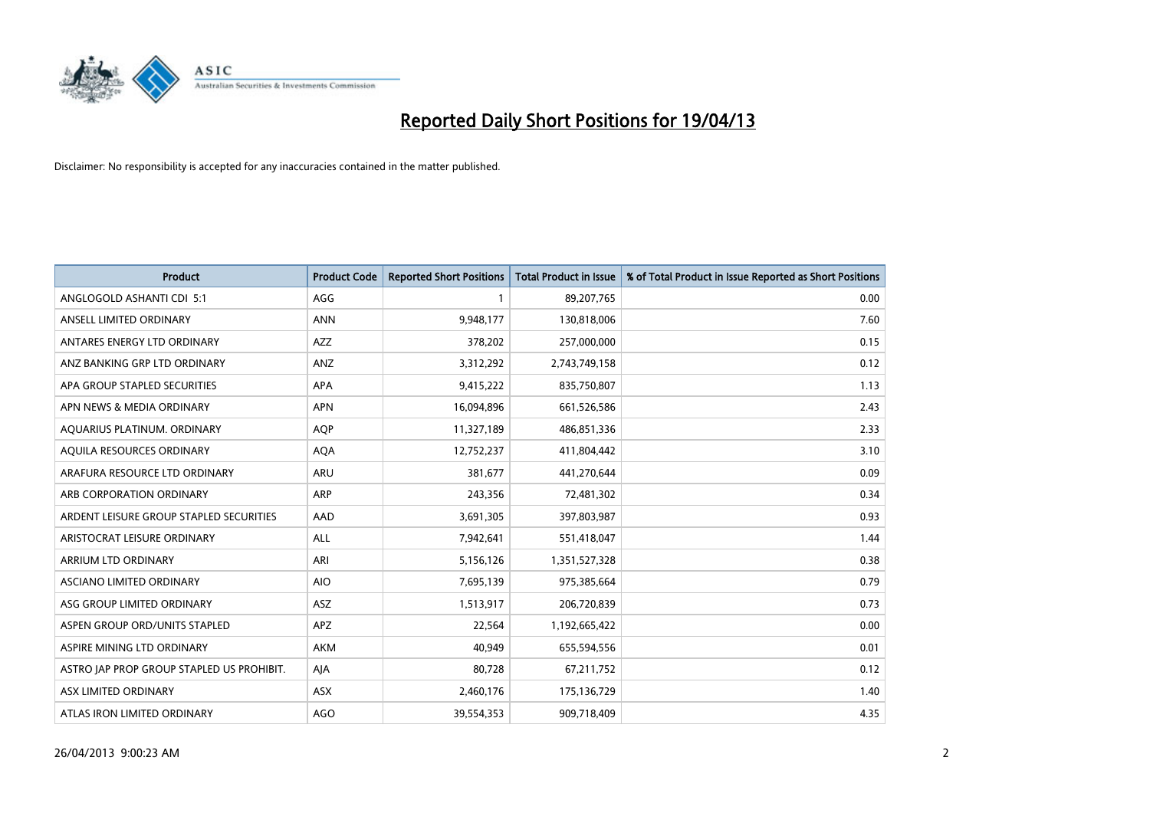

| Product                                   | <b>Product Code</b> | <b>Reported Short Positions</b> | <b>Total Product in Issue</b> | % of Total Product in Issue Reported as Short Positions |
|-------------------------------------------|---------------------|---------------------------------|-------------------------------|---------------------------------------------------------|
| ANGLOGOLD ASHANTI CDI 5:1                 | AGG                 | 1                               | 89,207,765                    | 0.00                                                    |
| ANSELL LIMITED ORDINARY                   | <b>ANN</b>          | 9,948,177                       | 130,818,006                   | 7.60                                                    |
| ANTARES ENERGY LTD ORDINARY               | AZZ                 | 378,202                         | 257,000,000                   | 0.15                                                    |
| ANZ BANKING GRP LTD ORDINARY              | ANZ                 | 3,312,292                       | 2,743,749,158                 | 0.12                                                    |
| APA GROUP STAPLED SECURITIES              | <b>APA</b>          | 9,415,222                       | 835,750,807                   | 1.13                                                    |
| APN NEWS & MEDIA ORDINARY                 | <b>APN</b>          | 16,094,896                      | 661,526,586                   | 2.43                                                    |
| AQUARIUS PLATINUM. ORDINARY               | <b>AOP</b>          | 11,327,189                      | 486,851,336                   | 2.33                                                    |
| AQUILA RESOURCES ORDINARY                 | <b>AQA</b>          | 12,752,237                      | 411,804,442                   | 3.10                                                    |
| ARAFURA RESOURCE LTD ORDINARY             | <b>ARU</b>          | 381,677                         | 441,270,644                   | 0.09                                                    |
| ARB CORPORATION ORDINARY                  | ARP                 | 243,356                         | 72,481,302                    | 0.34                                                    |
| ARDENT LEISURE GROUP STAPLED SECURITIES   | AAD                 | 3,691,305                       | 397,803,987                   | 0.93                                                    |
| ARISTOCRAT LEISURE ORDINARY               | <b>ALL</b>          | 7,942,641                       | 551,418,047                   | 1.44                                                    |
| ARRIUM LTD ORDINARY                       | ARI                 | 5,156,126                       | 1,351,527,328                 | 0.38                                                    |
| ASCIANO LIMITED ORDINARY                  | <b>AIO</b>          | 7,695,139                       | 975,385,664                   | 0.79                                                    |
| ASG GROUP LIMITED ORDINARY                | ASZ                 | 1,513,917                       | 206,720,839                   | 0.73                                                    |
| ASPEN GROUP ORD/UNITS STAPLED             | <b>APZ</b>          | 22,564                          | 1,192,665,422                 | 0.00                                                    |
| ASPIRE MINING LTD ORDINARY                | AKM                 | 40,949                          | 655,594,556                   | 0.01                                                    |
| ASTRO JAP PROP GROUP STAPLED US PROHIBIT. | AJA                 | 80,728                          | 67,211,752                    | 0.12                                                    |
| ASX LIMITED ORDINARY                      | ASX                 | 2,460,176                       | 175,136,729                   | 1.40                                                    |
| ATLAS IRON LIMITED ORDINARY               | <b>AGO</b>          | 39,554,353                      | 909,718,409                   | 4.35                                                    |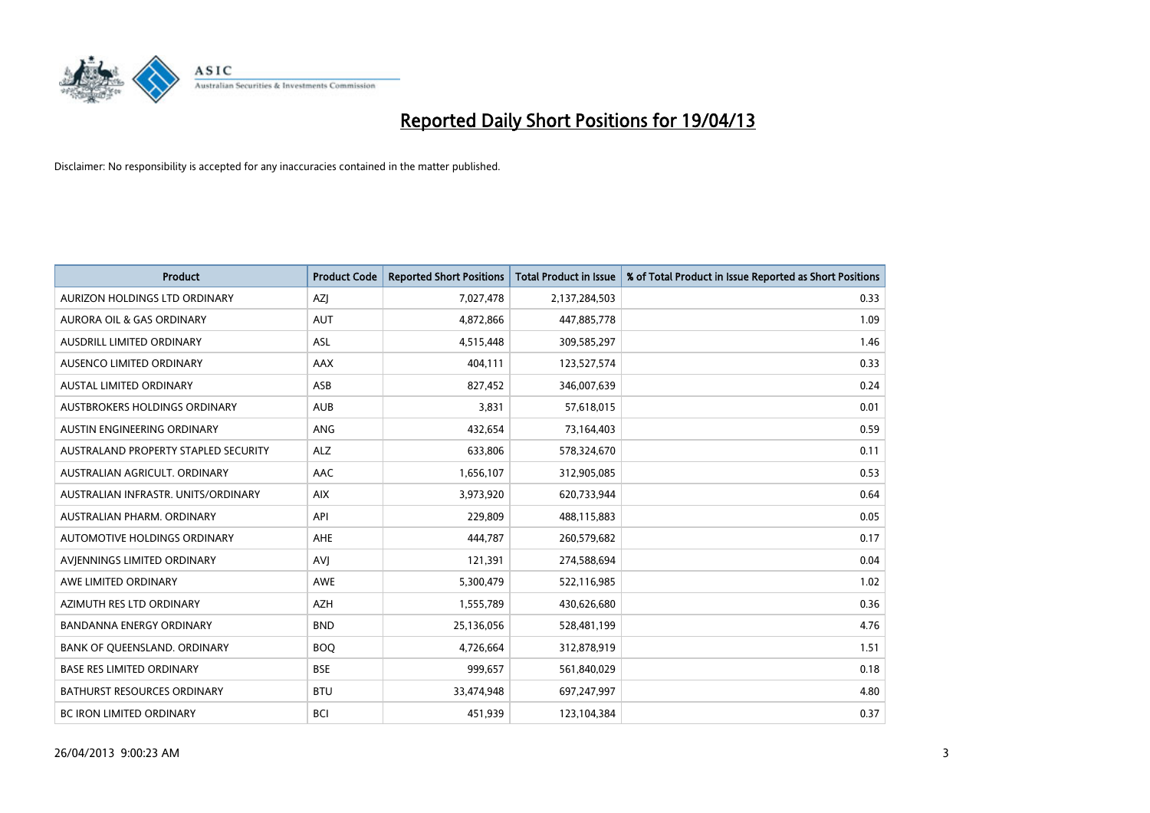

| <b>Product</b>                       | <b>Product Code</b> | <b>Reported Short Positions</b> | <b>Total Product in Issue</b> | % of Total Product in Issue Reported as Short Positions |
|--------------------------------------|---------------------|---------------------------------|-------------------------------|---------------------------------------------------------|
| AURIZON HOLDINGS LTD ORDINARY        | AZJ                 | 7,027,478                       | 2,137,284,503                 | 0.33                                                    |
| AURORA OIL & GAS ORDINARY            | AUT                 | 4,872,866                       | 447,885,778                   | 1.09                                                    |
| <b>AUSDRILL LIMITED ORDINARY</b>     | <b>ASL</b>          | 4,515,448                       | 309,585,297                   | 1.46                                                    |
| AUSENCO LIMITED ORDINARY             | AAX                 | 404,111                         | 123,527,574                   | 0.33                                                    |
| <b>AUSTAL LIMITED ORDINARY</b>       | ASB                 | 827,452                         | 346,007,639                   | 0.24                                                    |
| <b>AUSTBROKERS HOLDINGS ORDINARY</b> | <b>AUB</b>          | 3,831                           | 57,618,015                    | 0.01                                                    |
| AUSTIN ENGINEERING ORDINARY          | ANG                 | 432,654                         | 73,164,403                    | 0.59                                                    |
| AUSTRALAND PROPERTY STAPLED SECURITY | <b>ALZ</b>          | 633,806                         | 578,324,670                   | 0.11                                                    |
| AUSTRALIAN AGRICULT, ORDINARY        | AAC                 | 1,656,107                       | 312,905,085                   | 0.53                                                    |
| AUSTRALIAN INFRASTR, UNITS/ORDINARY  | <b>AIX</b>          | 3,973,920                       | 620,733,944                   | 0.64                                                    |
| AUSTRALIAN PHARM. ORDINARY           | API                 | 229,809                         | 488,115,883                   | 0.05                                                    |
| <b>AUTOMOTIVE HOLDINGS ORDINARY</b>  | <b>AHE</b>          | 444,787                         | 260,579,682                   | 0.17                                                    |
| AVIENNINGS LIMITED ORDINARY          | AVI                 | 121,391                         | 274,588,694                   | 0.04                                                    |
| AWE LIMITED ORDINARY                 | AWE                 | 5,300,479                       | 522,116,985                   | 1.02                                                    |
| AZIMUTH RES LTD ORDINARY             | <b>AZH</b>          | 1,555,789                       | 430,626,680                   | 0.36                                                    |
| BANDANNA ENERGY ORDINARY             | <b>BND</b>          | 25,136,056                      | 528,481,199                   | 4.76                                                    |
| BANK OF QUEENSLAND. ORDINARY         | <b>BOQ</b>          | 4,726,664                       | 312,878,919                   | 1.51                                                    |
| <b>BASE RES LIMITED ORDINARY</b>     | <b>BSE</b>          | 999,657                         | 561,840,029                   | 0.18                                                    |
| <b>BATHURST RESOURCES ORDINARY</b>   | <b>BTU</b>          | 33,474,948                      | 697,247,997                   | 4.80                                                    |
| <b>BC IRON LIMITED ORDINARY</b>      | <b>BCI</b>          | 451,939                         | 123,104,384                   | 0.37                                                    |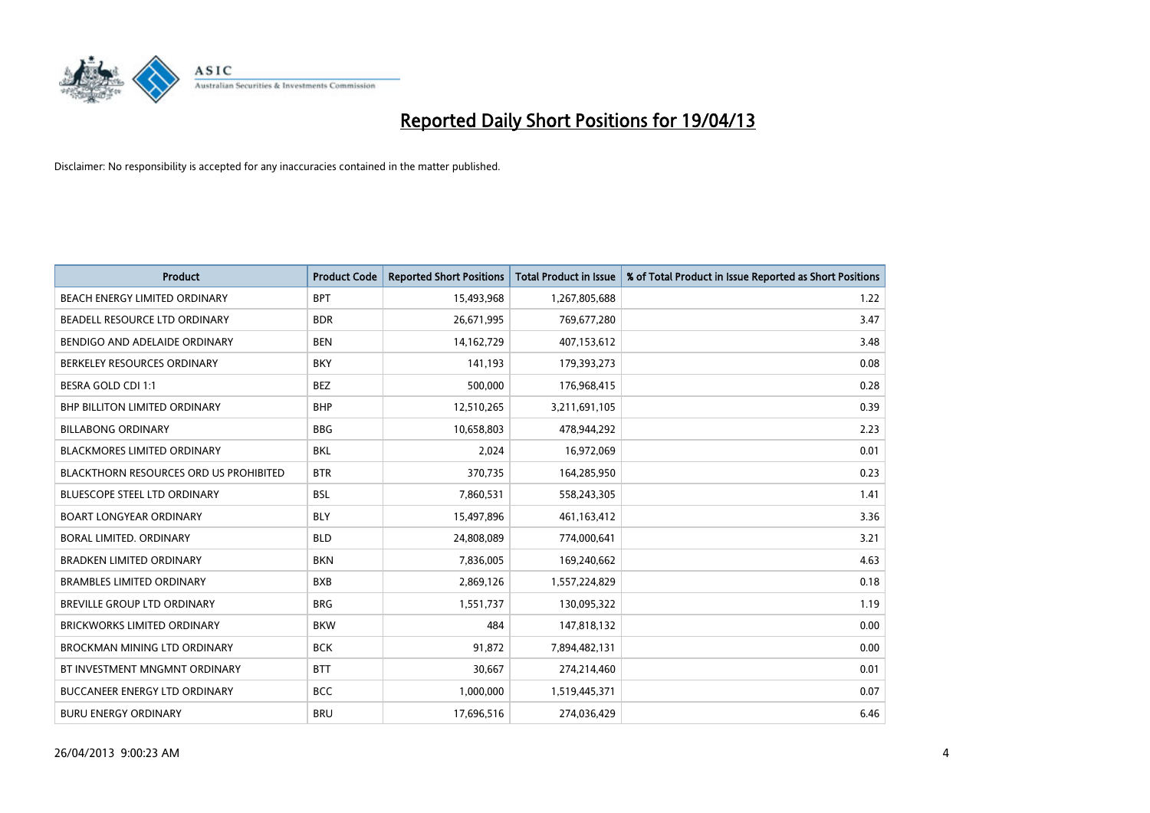

| <b>Product</b>                                | <b>Product Code</b> | <b>Reported Short Positions</b> | <b>Total Product in Issue</b> | % of Total Product in Issue Reported as Short Positions |
|-----------------------------------------------|---------------------|---------------------------------|-------------------------------|---------------------------------------------------------|
| <b>BEACH ENERGY LIMITED ORDINARY</b>          | <b>BPT</b>          | 15,493,968                      | 1,267,805,688                 | 1.22                                                    |
| BEADELL RESOURCE LTD ORDINARY                 | <b>BDR</b>          | 26,671,995                      | 769,677,280                   | 3.47                                                    |
| BENDIGO AND ADELAIDE ORDINARY                 | <b>BEN</b>          | 14,162,729                      | 407,153,612                   | 3.48                                                    |
| BERKELEY RESOURCES ORDINARY                   | <b>BKY</b>          | 141,193                         | 179,393,273                   | 0.08                                                    |
| <b>BESRA GOLD CDI 1:1</b>                     | <b>BEZ</b>          | 500,000                         | 176,968,415                   | 0.28                                                    |
| <b>BHP BILLITON LIMITED ORDINARY</b>          | <b>BHP</b>          | 12,510,265                      | 3,211,691,105                 | 0.39                                                    |
| <b>BILLABONG ORDINARY</b>                     | <b>BBG</b>          | 10,658,803                      | 478,944,292                   | 2.23                                                    |
| BLACKMORES LIMITED ORDINARY                   | <b>BKL</b>          | 2,024                           | 16,972,069                    | 0.01                                                    |
| <b>BLACKTHORN RESOURCES ORD US PROHIBITED</b> | <b>BTR</b>          | 370,735                         | 164,285,950                   | 0.23                                                    |
| <b>BLUESCOPE STEEL LTD ORDINARY</b>           | <b>BSL</b>          | 7,860,531                       | 558,243,305                   | 1.41                                                    |
| <b>BOART LONGYEAR ORDINARY</b>                | BLY                 | 15,497,896                      | 461,163,412                   | 3.36                                                    |
| BORAL LIMITED, ORDINARY                       | <b>BLD</b>          | 24,808,089                      | 774,000,641                   | 3.21                                                    |
| <b>BRADKEN LIMITED ORDINARY</b>               | <b>BKN</b>          | 7,836,005                       | 169,240,662                   | 4.63                                                    |
| <b>BRAMBLES LIMITED ORDINARY</b>              | <b>BXB</b>          | 2,869,126                       | 1,557,224,829                 | 0.18                                                    |
| BREVILLE GROUP LTD ORDINARY                   | <b>BRG</b>          | 1,551,737                       | 130,095,322                   | 1.19                                                    |
| <b>BRICKWORKS LIMITED ORDINARY</b>            | <b>BKW</b>          | 484                             | 147,818,132                   | 0.00                                                    |
| BROCKMAN MINING LTD ORDINARY                  | <b>BCK</b>          | 91,872                          | 7,894,482,131                 | 0.00                                                    |
| BT INVESTMENT MNGMNT ORDINARY                 | <b>BTT</b>          | 30,667                          | 274,214,460                   | 0.01                                                    |
| <b>BUCCANEER ENERGY LTD ORDINARY</b>          | <b>BCC</b>          | 1,000,000                       | 1,519,445,371                 | 0.07                                                    |
| <b>BURU ENERGY ORDINARY</b>                   | <b>BRU</b>          | 17,696,516                      | 274,036,429                   | 6.46                                                    |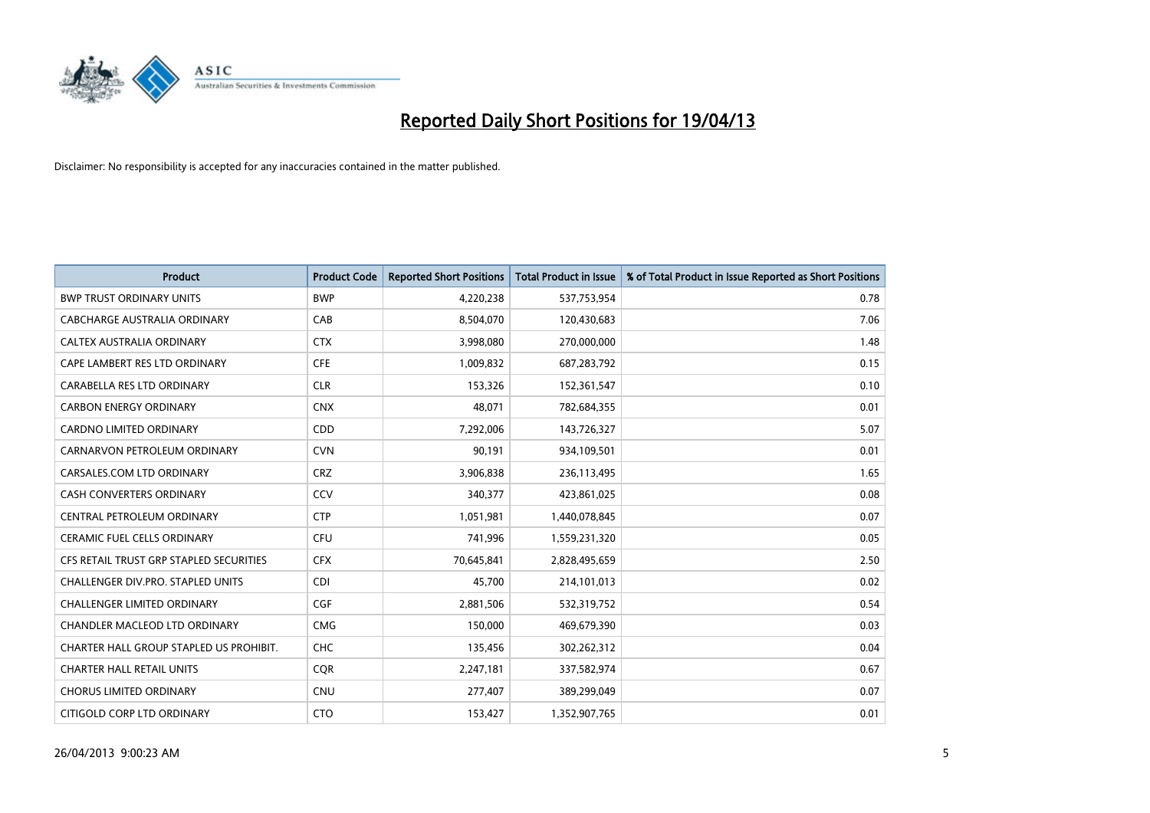

| <b>Product</b>                          | <b>Product Code</b> | <b>Reported Short Positions</b> | <b>Total Product in Issue</b> | % of Total Product in Issue Reported as Short Positions |
|-----------------------------------------|---------------------|---------------------------------|-------------------------------|---------------------------------------------------------|
| <b>BWP TRUST ORDINARY UNITS</b>         | <b>BWP</b>          | 4,220,238                       | 537,753,954                   | 0.78                                                    |
| CABCHARGE AUSTRALIA ORDINARY            | CAB                 | 8,504,070                       | 120,430,683                   | 7.06                                                    |
| <b>CALTEX AUSTRALIA ORDINARY</b>        | <b>CTX</b>          | 3,998,080                       | 270,000,000                   | 1.48                                                    |
| CAPE LAMBERT RES LTD ORDINARY           | <b>CFE</b>          | 1,009,832                       | 687,283,792                   | 0.15                                                    |
| CARABELLA RES LTD ORDINARY              | <b>CLR</b>          | 153,326                         | 152,361,547                   | 0.10                                                    |
| <b>CARBON ENERGY ORDINARY</b>           | <b>CNX</b>          | 48,071                          | 782,684,355                   | 0.01                                                    |
| <b>CARDNO LIMITED ORDINARY</b>          | CDD                 | 7,292,006                       | 143,726,327                   | 5.07                                                    |
| CARNARVON PETROLEUM ORDINARY            | <b>CVN</b>          | 90,191                          | 934,109,501                   | 0.01                                                    |
| CARSALES.COM LTD ORDINARY               | <b>CRZ</b>          | 3,906,838                       | 236,113,495                   | 1.65                                                    |
| <b>CASH CONVERTERS ORDINARY</b>         | CCV                 | 340,377                         | 423,861,025                   | 0.08                                                    |
| CENTRAL PETROLEUM ORDINARY              | <b>CTP</b>          | 1,051,981                       | 1,440,078,845                 | 0.07                                                    |
| <b>CERAMIC FUEL CELLS ORDINARY</b>      | <b>CFU</b>          | 741,996                         | 1,559,231,320                 | 0.05                                                    |
| CFS RETAIL TRUST GRP STAPLED SECURITIES | <b>CFX</b>          | 70,645,841                      | 2,828,495,659                 | 2.50                                                    |
| CHALLENGER DIV.PRO. STAPLED UNITS       | <b>CDI</b>          | 45,700                          | 214,101,013                   | 0.02                                                    |
| <b>CHALLENGER LIMITED ORDINARY</b>      | <b>CGF</b>          | 2,881,506                       | 532,319,752                   | 0.54                                                    |
| CHANDLER MACLEOD LTD ORDINARY           | <b>CMG</b>          | 150,000                         | 469,679,390                   | 0.03                                                    |
| CHARTER HALL GROUP STAPLED US PROHIBIT. | <b>CHC</b>          | 135,456                         | 302,262,312                   | 0.04                                                    |
| <b>CHARTER HALL RETAIL UNITS</b>        | <b>CQR</b>          | 2,247,181                       | 337,582,974                   | 0.67                                                    |
| <b>CHORUS LIMITED ORDINARY</b>          | <b>CNU</b>          | 277,407                         | 389,299,049                   | 0.07                                                    |
| CITIGOLD CORP LTD ORDINARY              | <b>CTO</b>          | 153,427                         | 1,352,907,765                 | 0.01                                                    |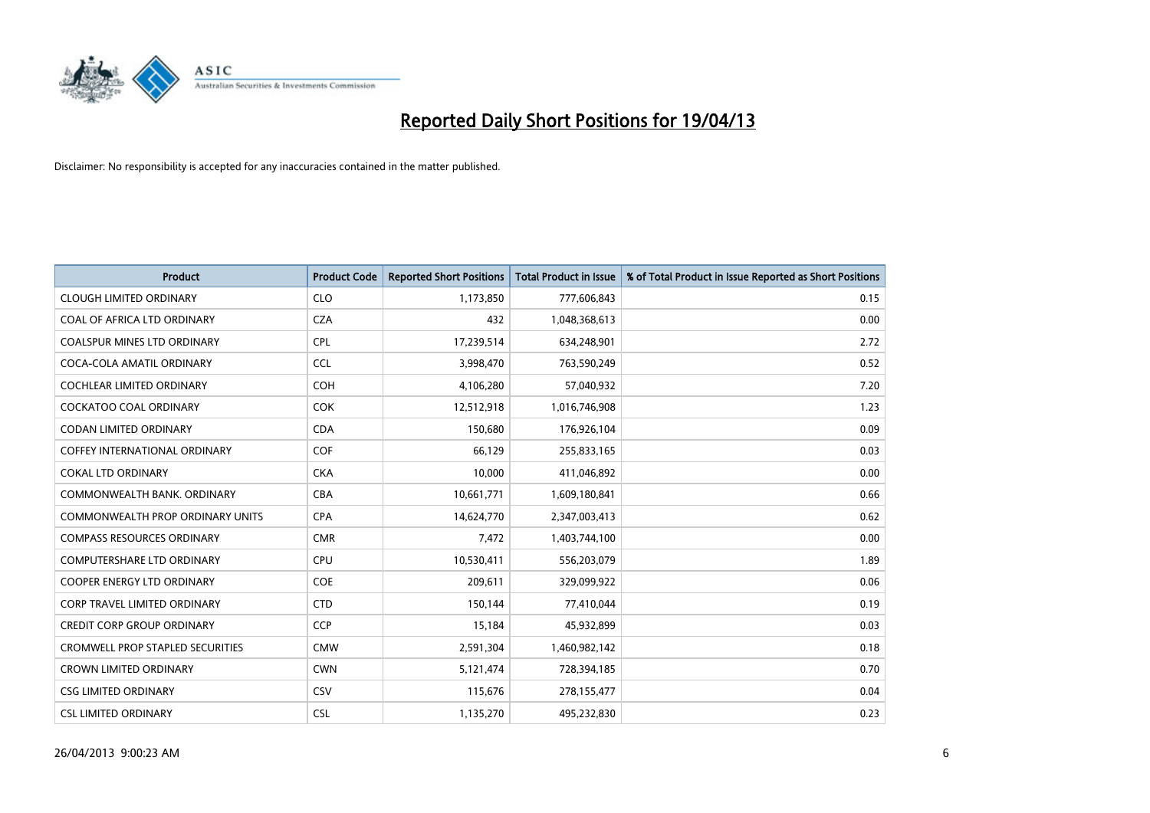

| <b>Product</b>                          | <b>Product Code</b> | <b>Reported Short Positions</b> | <b>Total Product in Issue</b> | % of Total Product in Issue Reported as Short Positions |
|-----------------------------------------|---------------------|---------------------------------|-------------------------------|---------------------------------------------------------|
| <b>CLOUGH LIMITED ORDINARY</b>          | <b>CLO</b>          | 1,173,850                       | 777,606,843                   | 0.15                                                    |
| COAL OF AFRICA LTD ORDINARY             | <b>CZA</b>          | 432                             | 1,048,368,613                 | 0.00                                                    |
| <b>COALSPUR MINES LTD ORDINARY</b>      | <b>CPL</b>          | 17,239,514                      | 634,248,901                   | 2.72                                                    |
| COCA-COLA AMATIL ORDINARY               | <b>CCL</b>          | 3,998,470                       | 763,590,249                   | 0.52                                                    |
| <b>COCHLEAR LIMITED ORDINARY</b>        | COH                 | 4,106,280                       | 57,040,932                    | 7.20                                                    |
| <b>COCKATOO COAL ORDINARY</b>           | <b>COK</b>          | 12,512,918                      | 1,016,746,908                 | 1.23                                                    |
| <b>CODAN LIMITED ORDINARY</b>           | <b>CDA</b>          | 150,680                         | 176,926,104                   | 0.09                                                    |
| <b>COFFEY INTERNATIONAL ORDINARY</b>    | <b>COF</b>          | 66.129                          | 255,833,165                   | 0.03                                                    |
| <b>COKAL LTD ORDINARY</b>               | <b>CKA</b>          | 10,000                          | 411,046,892                   | 0.00                                                    |
| COMMONWEALTH BANK, ORDINARY             | <b>CBA</b>          | 10,661,771                      | 1,609,180,841                 | 0.66                                                    |
| <b>COMMONWEALTH PROP ORDINARY UNITS</b> | <b>CPA</b>          | 14,624,770                      | 2,347,003,413                 | 0.62                                                    |
| <b>COMPASS RESOURCES ORDINARY</b>       | <b>CMR</b>          | 7,472                           | 1,403,744,100                 | 0.00                                                    |
| <b>COMPUTERSHARE LTD ORDINARY</b>       | <b>CPU</b>          | 10,530,411                      | 556,203,079                   | 1.89                                                    |
| <b>COOPER ENERGY LTD ORDINARY</b>       | <b>COE</b>          | 209,611                         | 329,099,922                   | 0.06                                                    |
| <b>CORP TRAVEL LIMITED ORDINARY</b>     | <b>CTD</b>          | 150,144                         | 77,410,044                    | 0.19                                                    |
| <b>CREDIT CORP GROUP ORDINARY</b>       | <b>CCP</b>          | 15,184                          | 45,932,899                    | 0.03                                                    |
| CROMWELL PROP STAPLED SECURITIES        | <b>CMW</b>          | 2,591,304                       | 1,460,982,142                 | 0.18                                                    |
| <b>CROWN LIMITED ORDINARY</b>           | <b>CWN</b>          | 5,121,474                       | 728,394,185                   | 0.70                                                    |
| <b>CSG LIMITED ORDINARY</b>             | CSV                 | 115,676                         | 278,155,477                   | 0.04                                                    |
| <b>CSL LIMITED ORDINARY</b>             | <b>CSL</b>          | 1,135,270                       | 495,232,830                   | 0.23                                                    |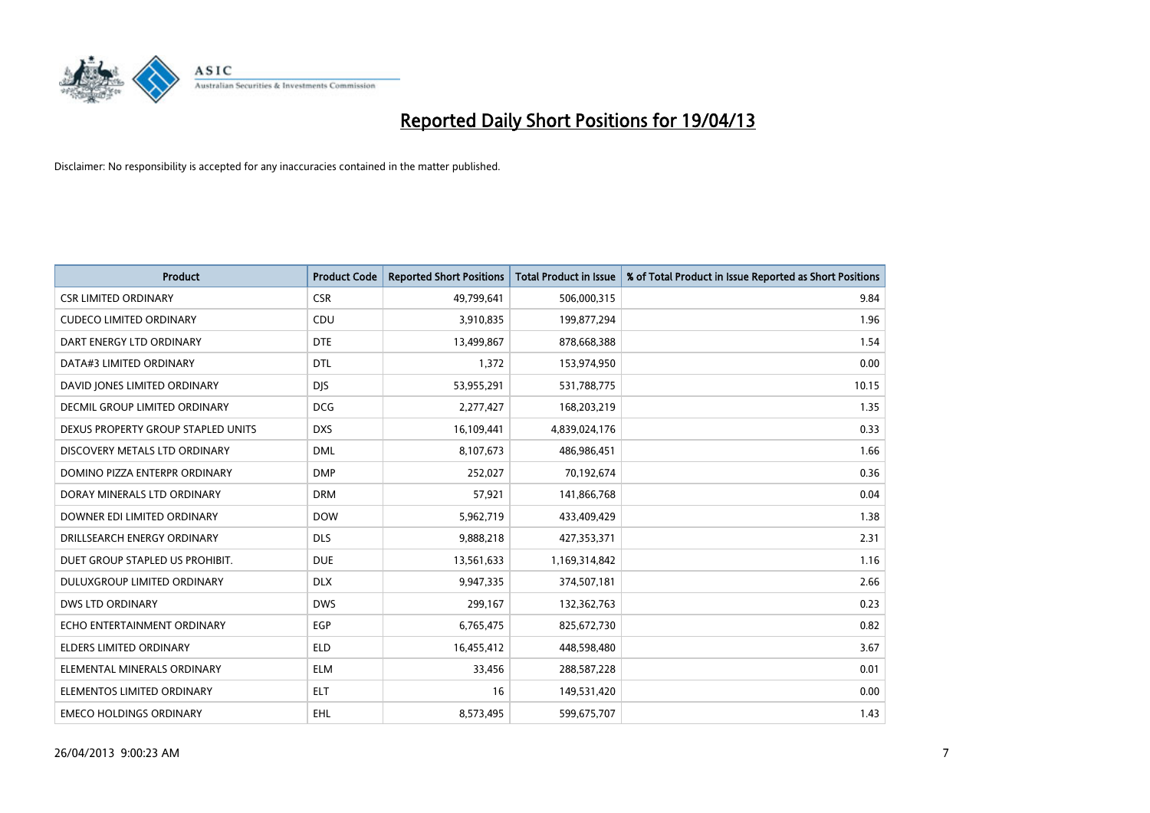

| <b>Product</b>                     | <b>Product Code</b> | <b>Reported Short Positions</b> | <b>Total Product in Issue</b> | % of Total Product in Issue Reported as Short Positions |
|------------------------------------|---------------------|---------------------------------|-------------------------------|---------------------------------------------------------|
| <b>CSR LIMITED ORDINARY</b>        | <b>CSR</b>          | 49,799,641                      | 506,000,315                   | 9.84                                                    |
| <b>CUDECO LIMITED ORDINARY</b>     | <b>CDU</b>          | 3,910,835                       | 199,877,294                   | 1.96                                                    |
| DART ENERGY LTD ORDINARY           | <b>DTE</b>          | 13,499,867                      | 878,668,388                   | 1.54                                                    |
| DATA#3 LIMITED ORDINARY            | <b>DTL</b>          | 1,372                           | 153,974,950                   | 0.00                                                    |
| DAVID JONES LIMITED ORDINARY       | <b>DJS</b>          | 53,955,291                      | 531,788,775                   | 10.15                                                   |
| DECMIL GROUP LIMITED ORDINARY      | <b>DCG</b>          | 2,277,427                       | 168,203,219                   | 1.35                                                    |
| DEXUS PROPERTY GROUP STAPLED UNITS | <b>DXS</b>          | 16,109,441                      | 4,839,024,176                 | 0.33                                                    |
| DISCOVERY METALS LTD ORDINARY      | <b>DML</b>          | 8,107,673                       | 486,986,451                   | 1.66                                                    |
| DOMINO PIZZA ENTERPR ORDINARY      | <b>DMP</b>          | 252,027                         | 70,192,674                    | 0.36                                                    |
| DORAY MINERALS LTD ORDINARY        | <b>DRM</b>          | 57,921                          | 141,866,768                   | 0.04                                                    |
| DOWNER EDI LIMITED ORDINARY        | <b>DOW</b>          | 5,962,719                       | 433,409,429                   | 1.38                                                    |
| DRILLSEARCH ENERGY ORDINARY        | <b>DLS</b>          | 9,888,218                       | 427,353,371                   | 2.31                                                    |
| DUET GROUP STAPLED US PROHIBIT.    | <b>DUE</b>          | 13,561,633                      | 1,169,314,842                 | 1.16                                                    |
| DULUXGROUP LIMITED ORDINARY        | <b>DLX</b>          | 9,947,335                       | 374,507,181                   | 2.66                                                    |
| <b>DWS LTD ORDINARY</b>            | <b>DWS</b>          | 299,167                         | 132,362,763                   | 0.23                                                    |
| ECHO ENTERTAINMENT ORDINARY        | EGP                 | 6,765,475                       | 825,672,730                   | 0.82                                                    |
| ELDERS LIMITED ORDINARY            | <b>ELD</b>          | 16,455,412                      | 448,598,480                   | 3.67                                                    |
| ELEMENTAL MINERALS ORDINARY        | <b>ELM</b>          | 33,456                          | 288,587,228                   | 0.01                                                    |
| ELEMENTOS LIMITED ORDINARY         | <b>ELT</b>          | 16                              | 149,531,420                   | 0.00                                                    |
| <b>EMECO HOLDINGS ORDINARY</b>     | <b>EHL</b>          | 8,573,495                       | 599,675,707                   | 1.43                                                    |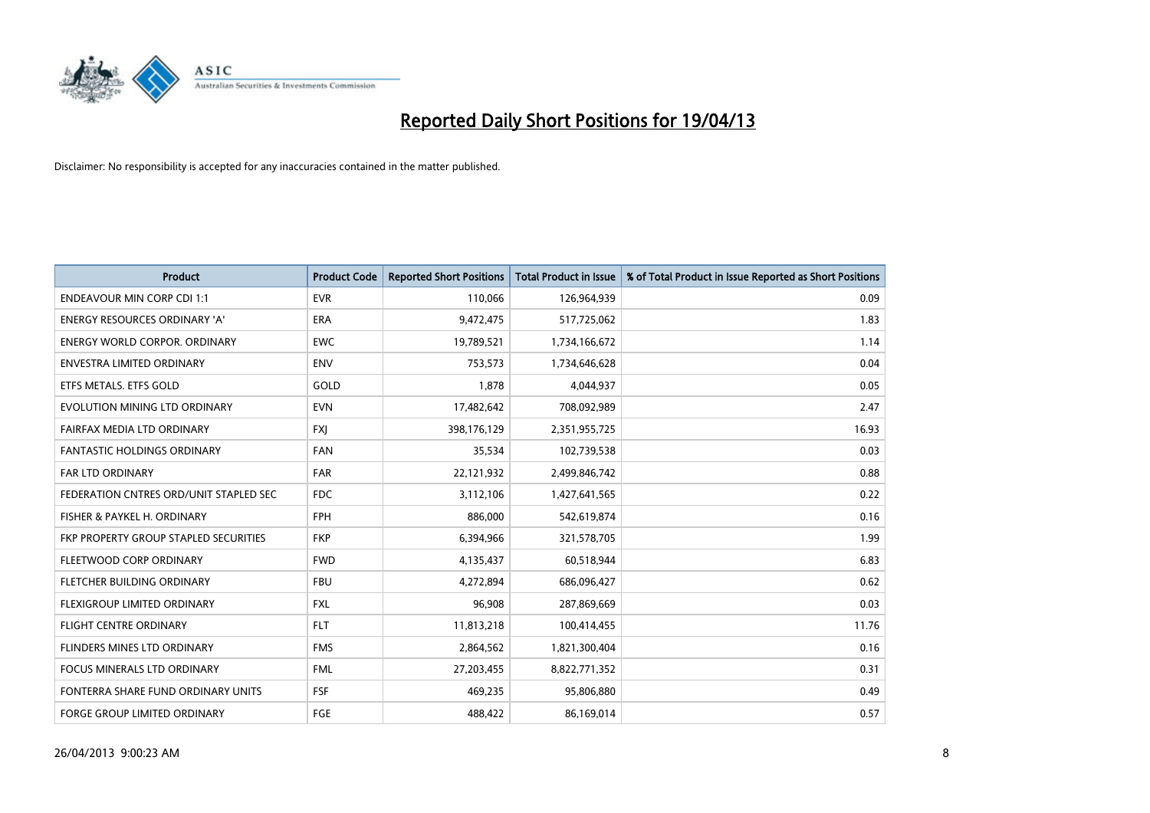

| <b>Product</b>                         | <b>Product Code</b> | <b>Reported Short Positions</b> | <b>Total Product in Issue</b> | % of Total Product in Issue Reported as Short Positions |
|----------------------------------------|---------------------|---------------------------------|-------------------------------|---------------------------------------------------------|
| <b>ENDEAVOUR MIN CORP CDI 1:1</b>      | <b>EVR</b>          | 110,066                         | 126,964,939                   | 0.09                                                    |
| <b>ENERGY RESOURCES ORDINARY 'A'</b>   | ERA                 | 9,472,475                       | 517,725,062                   | 1.83                                                    |
| <b>ENERGY WORLD CORPOR, ORDINARY</b>   | <b>EWC</b>          | 19,789,521                      | 1,734,166,672                 | 1.14                                                    |
| ENVESTRA LIMITED ORDINARY              | <b>ENV</b>          | 753,573                         | 1,734,646,628                 | 0.04                                                    |
| ETFS METALS. ETFS GOLD                 | GOLD                | 1,878                           | 4,044,937                     | 0.05                                                    |
| EVOLUTION MINING LTD ORDINARY          | <b>EVN</b>          | 17,482,642                      | 708,092,989                   | 2.47                                                    |
| FAIRFAX MEDIA LTD ORDINARY             | <b>FXJ</b>          | 398,176,129                     | 2,351,955,725                 | 16.93                                                   |
| <b>FANTASTIC HOLDINGS ORDINARY</b>     | <b>FAN</b>          | 35,534                          | 102,739,538                   | 0.03                                                    |
| FAR LTD ORDINARY                       | <b>FAR</b>          | 22,121,932                      | 2,499,846,742                 | 0.88                                                    |
| FEDERATION CNTRES ORD/UNIT STAPLED SEC | FDC.                | 3,112,106                       | 1,427,641,565                 | 0.22                                                    |
| FISHER & PAYKEL H. ORDINARY            | <b>FPH</b>          | 886,000                         | 542,619,874                   | 0.16                                                    |
| FKP PROPERTY GROUP STAPLED SECURITIES  | <b>FKP</b>          | 6,394,966                       | 321,578,705                   | 1.99                                                    |
| FLEETWOOD CORP ORDINARY                | <b>FWD</b>          | 4,135,437                       | 60,518,944                    | 6.83                                                    |
| FLETCHER BUILDING ORDINARY             | <b>FBU</b>          | 4,272,894                       | 686,096,427                   | 0.62                                                    |
| FLEXIGROUP LIMITED ORDINARY            | <b>FXL</b>          | 96,908                          | 287,869,669                   | 0.03                                                    |
| FLIGHT CENTRE ORDINARY                 | <b>FLT</b>          | 11,813,218                      | 100,414,455                   | 11.76                                                   |
| FLINDERS MINES LTD ORDINARY            | <b>FMS</b>          | 2,864,562                       | 1,821,300,404                 | 0.16                                                    |
| FOCUS MINERALS LTD ORDINARY            | <b>FML</b>          | 27,203,455                      | 8,822,771,352                 | 0.31                                                    |
| FONTERRA SHARE FUND ORDINARY UNITS     | <b>FSF</b>          | 469,235                         | 95,806,880                    | 0.49                                                    |
| <b>FORGE GROUP LIMITED ORDINARY</b>    | FGE                 | 488,422                         | 86,169,014                    | 0.57                                                    |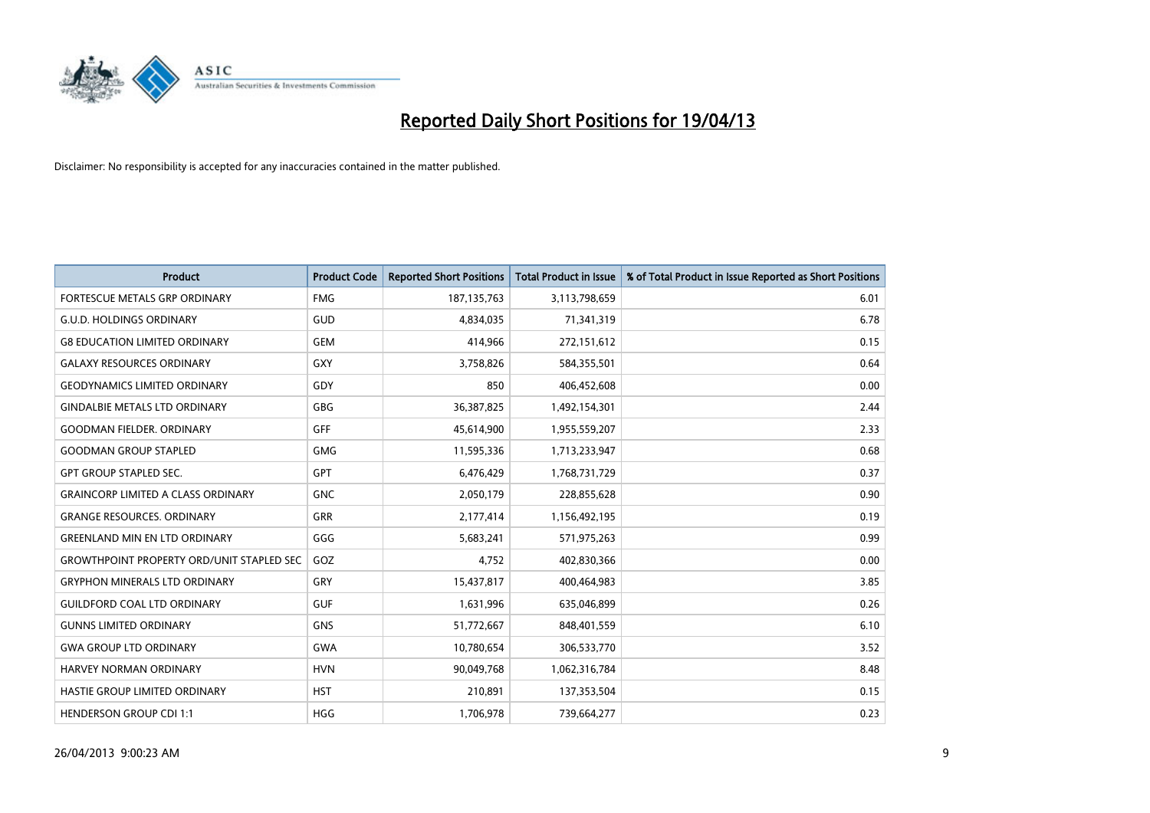

| <b>Product</b>                                   | <b>Product Code</b> | <b>Reported Short Positions</b> | <b>Total Product in Issue</b> | % of Total Product in Issue Reported as Short Positions |
|--------------------------------------------------|---------------------|---------------------------------|-------------------------------|---------------------------------------------------------|
| FORTESCUE METALS GRP ORDINARY                    | <b>FMG</b>          | 187, 135, 763                   | 3,113,798,659                 | 6.01                                                    |
| G.U.D. HOLDINGS ORDINARY                         | <b>GUD</b>          | 4,834,035                       | 71,341,319                    | 6.78                                                    |
| <b>G8 EDUCATION LIMITED ORDINARY</b>             | <b>GEM</b>          | 414,966                         | 272,151,612                   | 0.15                                                    |
| <b>GALAXY RESOURCES ORDINARY</b>                 | <b>GXY</b>          | 3,758,826                       | 584,355,501                   | 0.64                                                    |
| <b>GEODYNAMICS LIMITED ORDINARY</b>              | GDY                 | 850                             | 406,452,608                   | 0.00                                                    |
| <b>GINDALBIE METALS LTD ORDINARY</b>             | <b>GBG</b>          | 36,387,825                      | 1,492,154,301                 | 2.44                                                    |
| <b>GOODMAN FIELDER. ORDINARY</b>                 | GFF                 | 45,614,900                      | 1,955,559,207                 | 2.33                                                    |
| <b>GOODMAN GROUP STAPLED</b>                     | <b>GMG</b>          | 11,595,336                      | 1,713,233,947                 | 0.68                                                    |
| <b>GPT GROUP STAPLED SEC.</b>                    | <b>GPT</b>          | 6,476,429                       | 1,768,731,729                 | 0.37                                                    |
| <b>GRAINCORP LIMITED A CLASS ORDINARY</b>        | <b>GNC</b>          | 2,050,179                       | 228,855,628                   | 0.90                                                    |
| <b>GRANGE RESOURCES. ORDINARY</b>                | <b>GRR</b>          | 2,177,414                       | 1,156,492,195                 | 0.19                                                    |
| <b>GREENLAND MIN EN LTD ORDINARY</b>             | GGG                 | 5,683,241                       | 571,975,263                   | 0.99                                                    |
| <b>GROWTHPOINT PROPERTY ORD/UNIT STAPLED SEC</b> | GOZ                 | 4,752                           | 402,830,366                   | 0.00                                                    |
| <b>GRYPHON MINERALS LTD ORDINARY</b>             | GRY                 | 15,437,817                      | 400,464,983                   | 3.85                                                    |
| <b>GUILDFORD COAL LTD ORDINARY</b>               | <b>GUF</b>          | 1,631,996                       | 635,046,899                   | 0.26                                                    |
| <b>GUNNS LIMITED ORDINARY</b>                    | <b>GNS</b>          | 51,772,667                      | 848,401,559                   | 6.10                                                    |
| <b>GWA GROUP LTD ORDINARY</b>                    | GWA                 | 10,780,654                      | 306,533,770                   | 3.52                                                    |
| <b>HARVEY NORMAN ORDINARY</b>                    | <b>HVN</b>          | 90,049,768                      | 1,062,316,784                 | 8.48                                                    |
| HASTIE GROUP LIMITED ORDINARY                    | <b>HST</b>          | 210,891                         | 137,353,504                   | 0.15                                                    |
| <b>HENDERSON GROUP CDI 1:1</b>                   | <b>HGG</b>          | 1,706,978                       | 739,664,277                   | 0.23                                                    |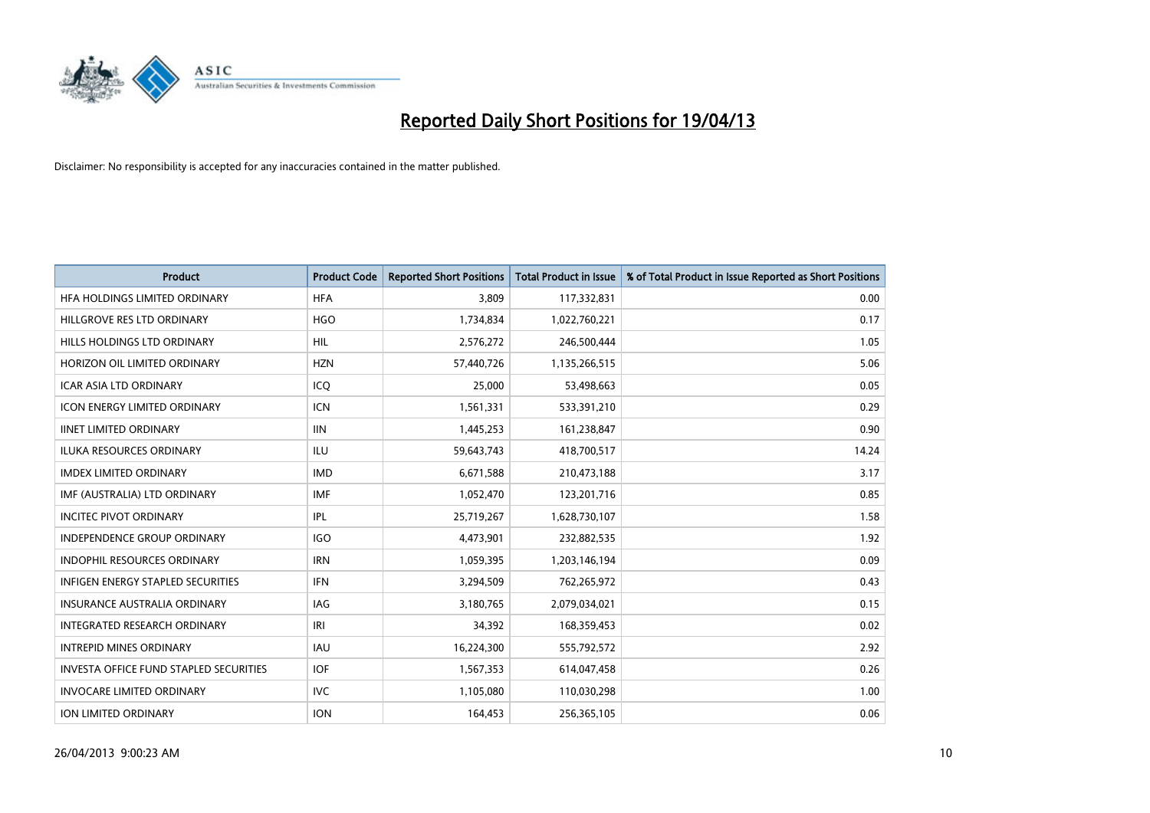

| <b>Product</b>                           | <b>Product Code</b> | <b>Reported Short Positions</b> | <b>Total Product in Issue</b> | % of Total Product in Issue Reported as Short Positions |
|------------------------------------------|---------------------|---------------------------------|-------------------------------|---------------------------------------------------------|
| HFA HOLDINGS LIMITED ORDINARY            | <b>HFA</b>          | 3,809                           | 117,332,831                   | 0.00                                                    |
| HILLGROVE RES LTD ORDINARY               | <b>HGO</b>          | 1,734,834                       | 1,022,760,221                 | 0.17                                                    |
| HILLS HOLDINGS LTD ORDINARY              | <b>HIL</b>          | 2,576,272                       | 246,500,444                   | 1.05                                                    |
| HORIZON OIL LIMITED ORDINARY             | <b>HZN</b>          | 57,440,726                      | 1,135,266,515                 | 5.06                                                    |
| <b>ICAR ASIA LTD ORDINARY</b>            | ICO                 | 25,000                          | 53,498,663                    | 0.05                                                    |
| <b>ICON ENERGY LIMITED ORDINARY</b>      | <b>ICN</b>          | 1,561,331                       | 533,391,210                   | 0.29                                                    |
| <b>IINET LIMITED ORDINARY</b>            | <b>IIN</b>          | 1,445,253                       | 161,238,847                   | 0.90                                                    |
| <b>ILUKA RESOURCES ORDINARY</b>          | <b>ILU</b>          | 59,643,743                      | 418,700,517                   | 14.24                                                   |
| <b>IMDEX LIMITED ORDINARY</b>            | <b>IMD</b>          | 6,671,588                       | 210,473,188                   | 3.17                                                    |
| IMF (AUSTRALIA) LTD ORDINARY             | <b>IMF</b>          | 1,052,470                       | 123,201,716                   | 0.85                                                    |
| <b>INCITEC PIVOT ORDINARY</b>            | <b>IPL</b>          | 25,719,267                      | 1,628,730,107                 | 1.58                                                    |
| <b>INDEPENDENCE GROUP ORDINARY</b>       | <b>IGO</b>          | 4,473,901                       | 232,882,535                   | 1.92                                                    |
| INDOPHIL RESOURCES ORDINARY              | <b>IRN</b>          | 1,059,395                       | 1,203,146,194                 | 0.09                                                    |
| <b>INFIGEN ENERGY STAPLED SECURITIES</b> | <b>IFN</b>          | 3,294,509                       | 762,265,972                   | 0.43                                                    |
| <b>INSURANCE AUSTRALIA ORDINARY</b>      | IAG                 | 3,180,765                       | 2,079,034,021                 | 0.15                                                    |
| <b>INTEGRATED RESEARCH ORDINARY</b>      | IRI                 | 34,392                          | 168,359,453                   | 0.02                                                    |
| <b>INTREPID MINES ORDINARY</b>           | <b>IAU</b>          | 16,224,300                      | 555,792,572                   | 2.92                                                    |
| INVESTA OFFICE FUND STAPLED SECURITIES   | <b>IOF</b>          | 1,567,353                       | 614,047,458                   | 0.26                                                    |
| <b>INVOCARE LIMITED ORDINARY</b>         | <b>IVC</b>          | 1,105,080                       | 110,030,298                   | 1.00                                                    |
| ION LIMITED ORDINARY                     | <b>ION</b>          | 164,453                         | 256,365,105                   | 0.06                                                    |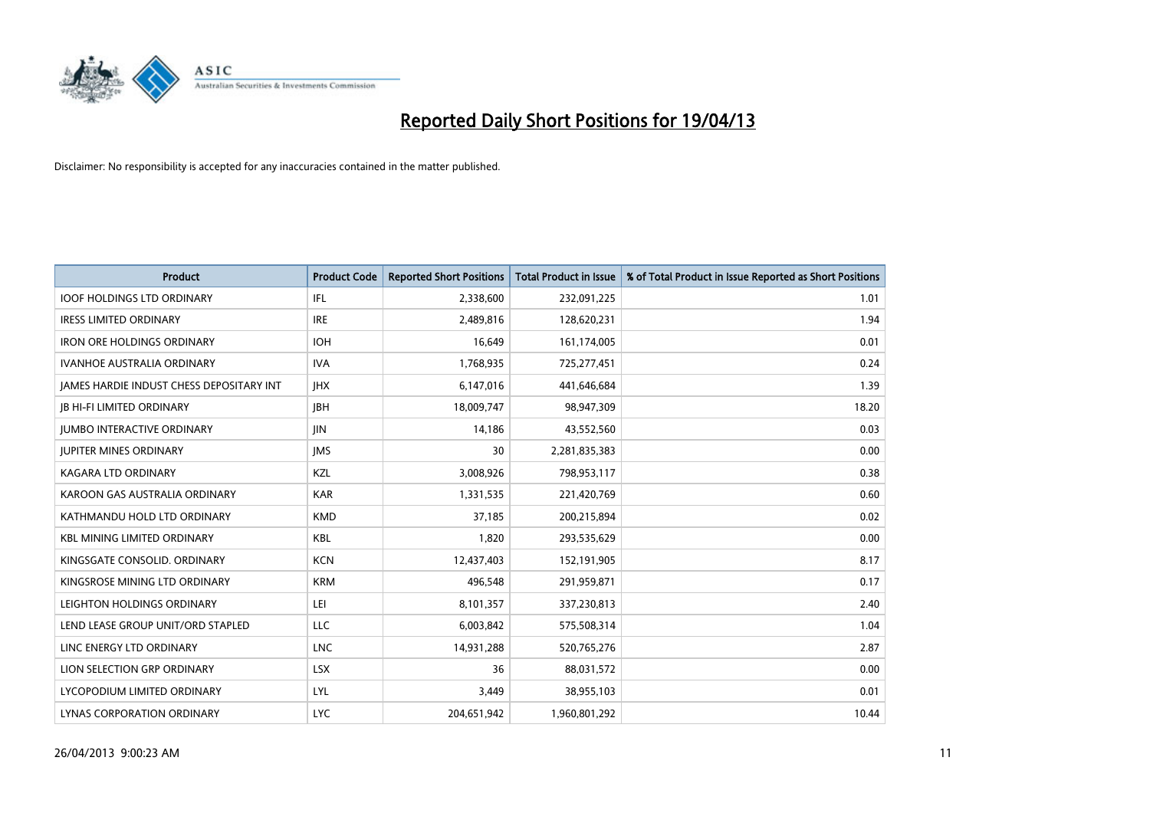

| <b>Product</b>                                  | <b>Product Code</b> | <b>Reported Short Positions</b> | <b>Total Product in Issue</b> | % of Total Product in Issue Reported as Short Positions |
|-------------------------------------------------|---------------------|---------------------------------|-------------------------------|---------------------------------------------------------|
| <b>IOOF HOLDINGS LTD ORDINARY</b>               | IFL                 | 2,338,600                       | 232,091,225                   | 1.01                                                    |
| <b>IRESS LIMITED ORDINARY</b>                   | <b>IRE</b>          | 2,489,816                       | 128,620,231                   | 1.94                                                    |
| <b>IRON ORE HOLDINGS ORDINARY</b>               | <b>IOH</b>          | 16,649                          | 161,174,005                   | 0.01                                                    |
| <b>IVANHOE AUSTRALIA ORDINARY</b>               | <b>IVA</b>          | 1,768,935                       | 725,277,451                   | 0.24                                                    |
| <b>IAMES HARDIE INDUST CHESS DEPOSITARY INT</b> | <b>IHX</b>          | 6,147,016                       | 441,646,684                   | 1.39                                                    |
| <b>JB HI-FI LIMITED ORDINARY</b>                | <b>JBH</b>          | 18,009,747                      | 98,947,309                    | 18.20                                                   |
| <b>JUMBO INTERACTIVE ORDINARY</b>               | JIN                 | 14,186                          | 43,552,560                    | 0.03                                                    |
| <b>JUPITER MINES ORDINARY</b>                   | <b>IMS</b>          | 30                              | 2,281,835,383                 | 0.00                                                    |
| KAGARA LTD ORDINARY                             | KZL                 | 3,008,926                       | 798,953,117                   | 0.38                                                    |
| KAROON GAS AUSTRALIA ORDINARY                   | <b>KAR</b>          | 1,331,535                       | 221,420,769                   | 0.60                                                    |
| KATHMANDU HOLD LTD ORDINARY                     | <b>KMD</b>          | 37,185                          | 200,215,894                   | 0.02                                                    |
| <b>KBL MINING LIMITED ORDINARY</b>              | <b>KBL</b>          | 1,820                           | 293,535,629                   | 0.00                                                    |
| KINGSGATE CONSOLID. ORDINARY                    | <b>KCN</b>          | 12,437,403                      | 152,191,905                   | 8.17                                                    |
| KINGSROSE MINING LTD ORDINARY                   | <b>KRM</b>          | 496,548                         | 291,959,871                   | 0.17                                                    |
| LEIGHTON HOLDINGS ORDINARY                      | LEI                 | 8,101,357                       | 337,230,813                   | 2.40                                                    |
| LEND LEASE GROUP UNIT/ORD STAPLED               | LLC                 | 6,003,842                       | 575,508,314                   | 1.04                                                    |
| LINC ENERGY LTD ORDINARY                        | <b>LNC</b>          | 14,931,288                      | 520,765,276                   | 2.87                                                    |
| LION SELECTION GRP ORDINARY                     | <b>LSX</b>          | 36                              | 88,031,572                    | 0.00                                                    |
| LYCOPODIUM LIMITED ORDINARY                     | LYL                 | 3,449                           | 38,955,103                    | 0.01                                                    |
| LYNAS CORPORATION ORDINARY                      | <b>LYC</b>          | 204,651,942                     | 1,960,801,292                 | 10.44                                                   |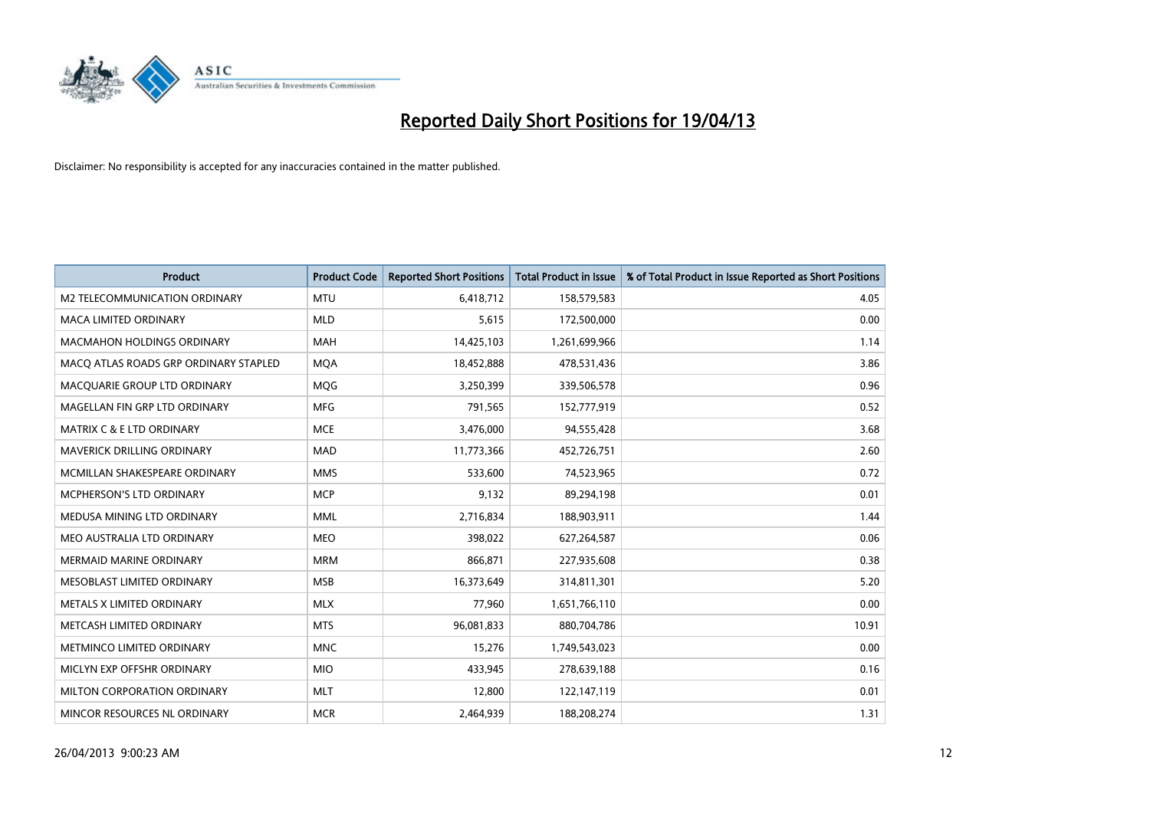

| <b>Product</b>                        | <b>Product Code</b> | <b>Reported Short Positions</b> | <b>Total Product in Issue</b> | % of Total Product in Issue Reported as Short Positions |
|---------------------------------------|---------------------|---------------------------------|-------------------------------|---------------------------------------------------------|
| <b>M2 TELECOMMUNICATION ORDINARY</b>  | <b>MTU</b>          | 6,418,712                       | 158,579,583                   | 4.05                                                    |
| <b>MACA LIMITED ORDINARY</b>          | <b>MLD</b>          | 5,615                           | 172,500,000                   | 0.00                                                    |
| MACMAHON HOLDINGS ORDINARY            | MAH                 | 14,425,103                      | 1,261,699,966                 | 1.14                                                    |
| MACO ATLAS ROADS GRP ORDINARY STAPLED | <b>MOA</b>          | 18,452,888                      | 478,531,436                   | 3.86                                                    |
| MACQUARIE GROUP LTD ORDINARY          | <b>MQG</b>          | 3,250,399                       | 339,506,578                   | 0.96                                                    |
| MAGELLAN FIN GRP LTD ORDINARY         | <b>MFG</b>          | 791,565                         | 152,777,919                   | 0.52                                                    |
| <b>MATRIX C &amp; E LTD ORDINARY</b>  | <b>MCE</b>          | 3,476,000                       | 94,555,428                    | 3.68                                                    |
| MAVERICK DRILLING ORDINARY            | <b>MAD</b>          | 11,773,366                      | 452,726,751                   | 2.60                                                    |
| MCMILLAN SHAKESPEARE ORDINARY         | <b>MMS</b>          | 533,600                         | 74,523,965                    | 0.72                                                    |
| <b>MCPHERSON'S LTD ORDINARY</b>       | <b>MCP</b>          | 9,132                           | 89,294,198                    | 0.01                                                    |
| MEDUSA MINING LTD ORDINARY            | <b>MML</b>          | 2,716,834                       | 188,903,911                   | 1.44                                                    |
| MEO AUSTRALIA LTD ORDINARY            | <b>MEO</b>          | 398,022                         | 627,264,587                   | 0.06                                                    |
| MERMAID MARINE ORDINARY               | <b>MRM</b>          | 866,871                         | 227,935,608                   | 0.38                                                    |
| MESOBLAST LIMITED ORDINARY            | <b>MSB</b>          | 16,373,649                      | 314,811,301                   | 5.20                                                    |
| METALS X LIMITED ORDINARY             | <b>MLX</b>          | 77,960                          | 1,651,766,110                 | 0.00                                                    |
| METCASH LIMITED ORDINARY              | <b>MTS</b>          | 96,081,833                      | 880,704,786                   | 10.91                                                   |
| METMINCO LIMITED ORDINARY             | <b>MNC</b>          | 15,276                          | 1,749,543,023                 | 0.00                                                    |
| MICLYN EXP OFFSHR ORDINARY            | <b>MIO</b>          | 433,945                         | 278,639,188                   | 0.16                                                    |
| MILTON CORPORATION ORDINARY           | <b>MLT</b>          | 12,800                          | 122,147,119                   | 0.01                                                    |
| MINCOR RESOURCES NL ORDINARY          | <b>MCR</b>          | 2,464,939                       | 188,208,274                   | 1.31                                                    |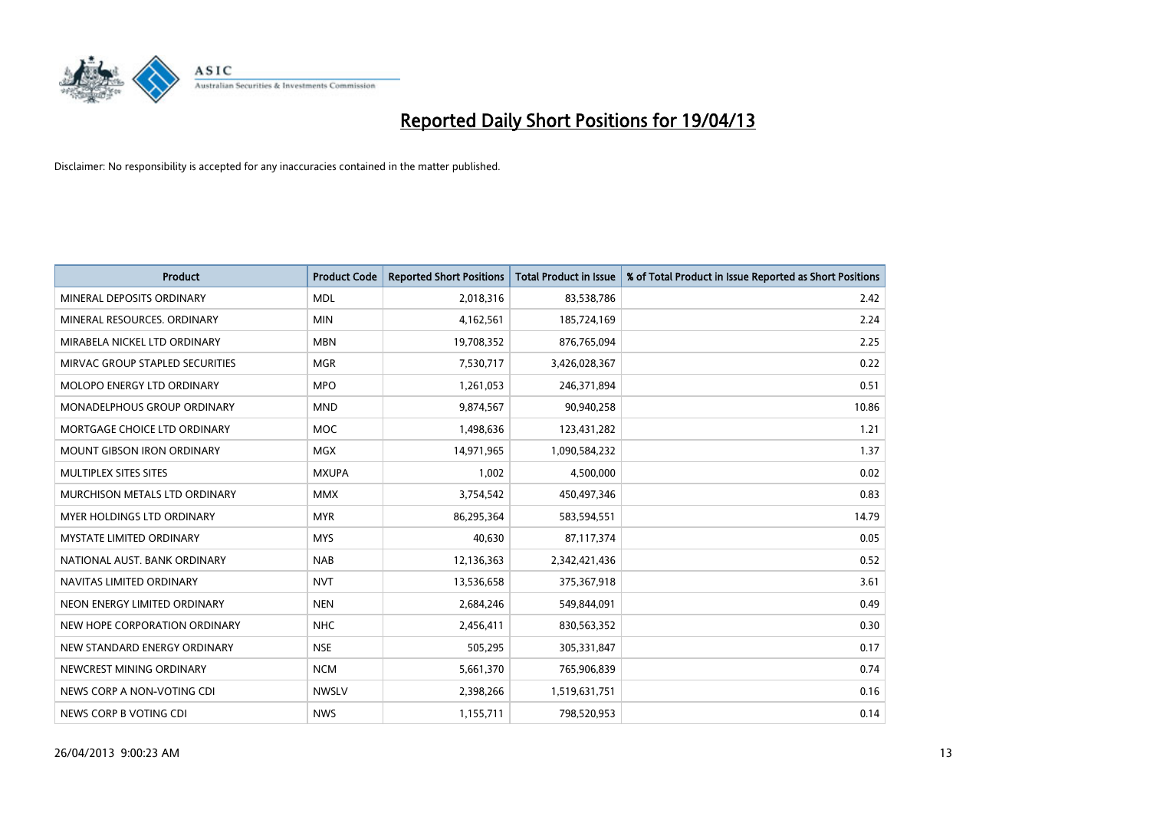

| <b>Product</b>                    | <b>Product Code</b> | <b>Reported Short Positions</b> | <b>Total Product in Issue</b> | % of Total Product in Issue Reported as Short Positions |
|-----------------------------------|---------------------|---------------------------------|-------------------------------|---------------------------------------------------------|
| MINERAL DEPOSITS ORDINARY         | <b>MDL</b>          | 2,018,316                       | 83,538,786                    | 2.42                                                    |
| MINERAL RESOURCES. ORDINARY       | <b>MIN</b>          | 4,162,561                       | 185,724,169                   | 2.24                                                    |
| MIRABELA NICKEL LTD ORDINARY      | <b>MBN</b>          | 19,708,352                      | 876,765,094                   | 2.25                                                    |
| MIRVAC GROUP STAPLED SECURITIES   | <b>MGR</b>          | 7,530,717                       | 3,426,028,367                 | 0.22                                                    |
| MOLOPO ENERGY LTD ORDINARY        | <b>MPO</b>          | 1,261,053                       | 246,371,894                   | 0.51                                                    |
| MONADELPHOUS GROUP ORDINARY       | <b>MND</b>          | 9,874,567                       | 90,940,258                    | 10.86                                                   |
| MORTGAGE CHOICE LTD ORDINARY      | <b>MOC</b>          | 1,498,636                       | 123,431,282                   | 1.21                                                    |
| <b>MOUNT GIBSON IRON ORDINARY</b> | <b>MGX</b>          | 14,971,965                      | 1,090,584,232                 | 1.37                                                    |
| MULTIPLEX SITES SITES             | <b>MXUPA</b>        | 1,002                           | 4,500,000                     | 0.02                                                    |
| MURCHISON METALS LTD ORDINARY     | <b>MMX</b>          | 3,754,542                       | 450,497,346                   | 0.83                                                    |
| MYER HOLDINGS LTD ORDINARY        | <b>MYR</b>          | 86,295,364                      | 583,594,551                   | 14.79                                                   |
| <b>MYSTATE LIMITED ORDINARY</b>   | <b>MYS</b>          | 40,630                          | 87,117,374                    | 0.05                                                    |
| NATIONAL AUST, BANK ORDINARY      | <b>NAB</b>          | 12,136,363                      | 2,342,421,436                 | 0.52                                                    |
| NAVITAS LIMITED ORDINARY          | <b>NVT</b>          | 13,536,658                      | 375,367,918                   | 3.61                                                    |
| NEON ENERGY LIMITED ORDINARY      | <b>NEN</b>          | 2,684,246                       | 549,844,091                   | 0.49                                                    |
| NEW HOPE CORPORATION ORDINARY     | <b>NHC</b>          | 2,456,411                       | 830,563,352                   | 0.30                                                    |
| NEW STANDARD ENERGY ORDINARY      | <b>NSE</b>          | 505,295                         | 305,331,847                   | 0.17                                                    |
| NEWCREST MINING ORDINARY          | <b>NCM</b>          | 5,661,370                       | 765,906,839                   | 0.74                                                    |
| NEWS CORP A NON-VOTING CDI        | <b>NWSLV</b>        | 2,398,266                       | 1,519,631,751                 | 0.16                                                    |
| NEWS CORP B VOTING CDI            | <b>NWS</b>          | 1,155,711                       | 798,520,953                   | 0.14                                                    |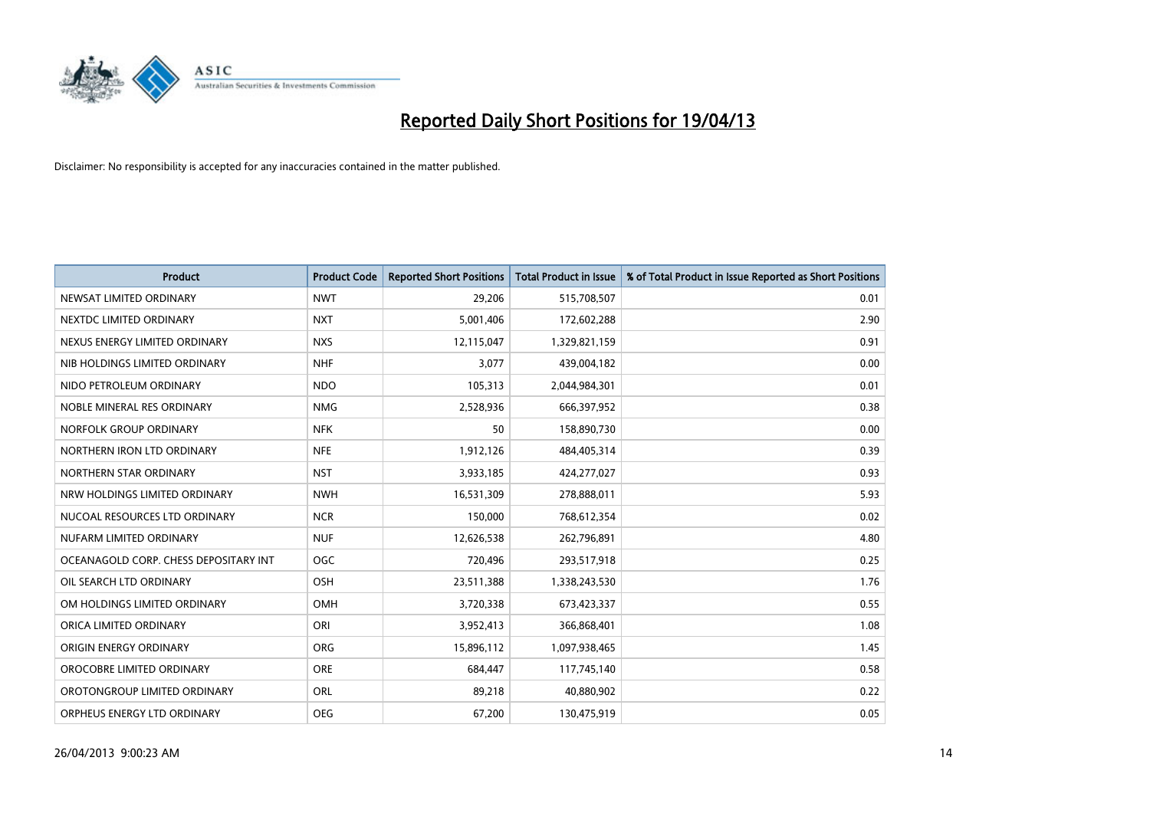

| <b>Product</b>                        | <b>Product Code</b> | <b>Reported Short Positions</b> | <b>Total Product in Issue</b> | % of Total Product in Issue Reported as Short Positions |
|---------------------------------------|---------------------|---------------------------------|-------------------------------|---------------------------------------------------------|
| NEWSAT LIMITED ORDINARY               | <b>NWT</b>          | 29,206                          | 515,708,507                   | 0.01                                                    |
| NEXTDC LIMITED ORDINARY               | <b>NXT</b>          | 5,001,406                       | 172,602,288                   | 2.90                                                    |
| NEXUS ENERGY LIMITED ORDINARY         | <b>NXS</b>          | 12,115,047                      | 1,329,821,159                 | 0.91                                                    |
| NIB HOLDINGS LIMITED ORDINARY         | <b>NHF</b>          | 3,077                           | 439,004,182                   | 0.00                                                    |
| NIDO PETROLEUM ORDINARY               | <b>NDO</b>          | 105,313                         | 2,044,984,301                 | 0.01                                                    |
| NOBLE MINERAL RES ORDINARY            | <b>NMG</b>          | 2,528,936                       | 666,397,952                   | 0.38                                                    |
| NORFOLK GROUP ORDINARY                | <b>NFK</b>          | 50                              | 158,890,730                   | 0.00                                                    |
| NORTHERN IRON LTD ORDINARY            | <b>NFE</b>          | 1,912,126                       | 484,405,314                   | 0.39                                                    |
| NORTHERN STAR ORDINARY                | <b>NST</b>          | 3,933,185                       | 424,277,027                   | 0.93                                                    |
| NRW HOLDINGS LIMITED ORDINARY         | <b>NWH</b>          | 16,531,309                      | 278,888,011                   | 5.93                                                    |
| NUCOAL RESOURCES LTD ORDINARY         | <b>NCR</b>          | 150,000                         | 768,612,354                   | 0.02                                                    |
| NUFARM LIMITED ORDINARY               | <b>NUF</b>          | 12,626,538                      | 262,796,891                   | 4.80                                                    |
| OCEANAGOLD CORP. CHESS DEPOSITARY INT | <b>OGC</b>          | 720,496                         | 293,517,918                   | 0.25                                                    |
| OIL SEARCH LTD ORDINARY               | OSH                 | 23,511,388                      | 1,338,243,530                 | 1.76                                                    |
| OM HOLDINGS LIMITED ORDINARY          | OMH                 | 3,720,338                       | 673,423,337                   | 0.55                                                    |
| ORICA LIMITED ORDINARY                | ORI                 | 3,952,413                       | 366,868,401                   | 1.08                                                    |
| ORIGIN ENERGY ORDINARY                | ORG                 | 15,896,112                      | 1,097,938,465                 | 1.45                                                    |
| OROCOBRE LIMITED ORDINARY             | <b>ORE</b>          | 684,447                         | 117,745,140                   | 0.58                                                    |
| OROTONGROUP LIMITED ORDINARY          | ORL                 | 89,218                          | 40,880,902                    | 0.22                                                    |
| ORPHEUS ENERGY LTD ORDINARY           | <b>OEG</b>          | 67,200                          | 130,475,919                   | 0.05                                                    |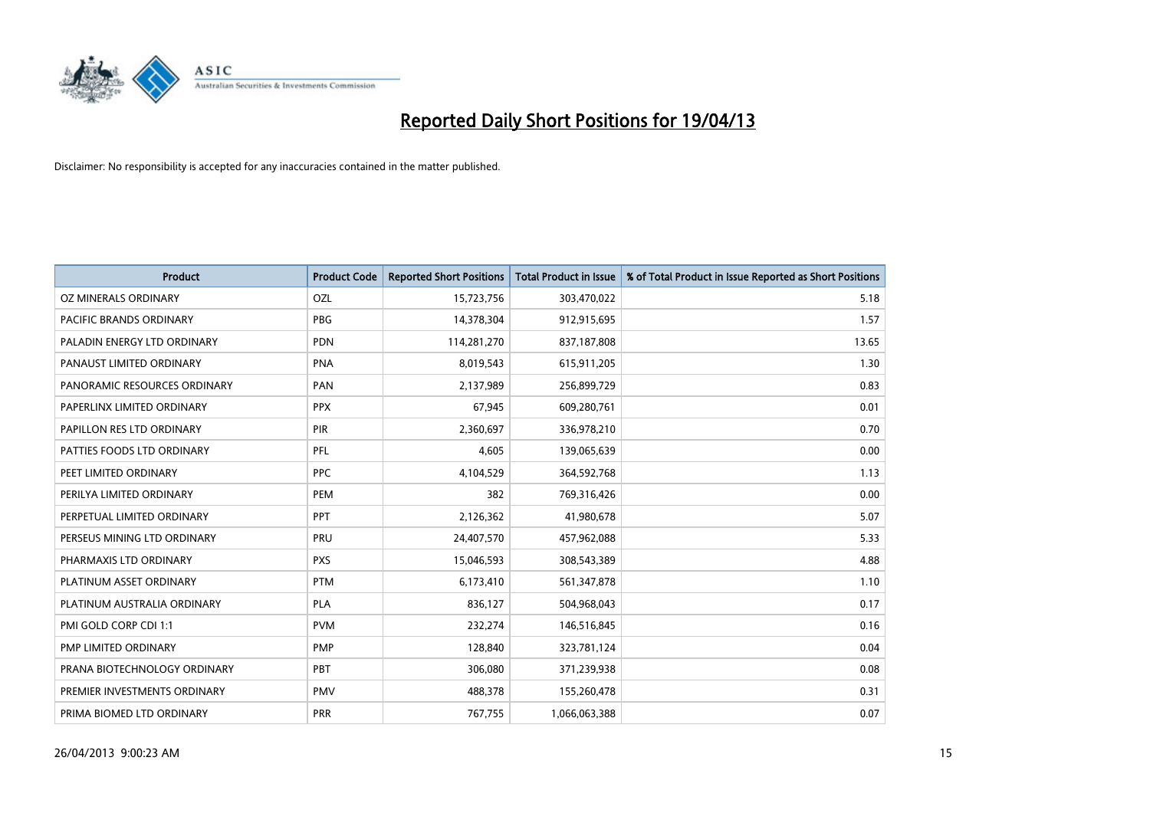

| Product                        | <b>Product Code</b> | <b>Reported Short Positions</b> | <b>Total Product in Issue</b> | % of Total Product in Issue Reported as Short Positions |
|--------------------------------|---------------------|---------------------------------|-------------------------------|---------------------------------------------------------|
| OZ MINERALS ORDINARY           | OZL                 | 15,723,756                      | 303,470,022                   | 5.18                                                    |
| <b>PACIFIC BRANDS ORDINARY</b> | <b>PBG</b>          | 14,378,304                      | 912,915,695                   | 1.57                                                    |
| PALADIN ENERGY LTD ORDINARY    | <b>PDN</b>          | 114,281,270                     | 837,187,808                   | 13.65                                                   |
| PANAUST LIMITED ORDINARY       | <b>PNA</b>          | 8,019,543                       | 615,911,205                   | 1.30                                                    |
| PANORAMIC RESOURCES ORDINARY   | PAN                 | 2,137,989                       | 256,899,729                   | 0.83                                                    |
| PAPERLINX LIMITED ORDINARY     | <b>PPX</b>          | 67,945                          | 609,280,761                   | 0.01                                                    |
| PAPILLON RES LTD ORDINARY      | <b>PIR</b>          | 2,360,697                       | 336,978,210                   | 0.70                                                    |
| PATTIES FOODS LTD ORDINARY     | PFL                 | 4,605                           | 139,065,639                   | 0.00                                                    |
| PEET LIMITED ORDINARY          | <b>PPC</b>          | 4,104,529                       | 364,592,768                   | 1.13                                                    |
| PERILYA LIMITED ORDINARY       | PEM                 | 382                             | 769,316,426                   | 0.00                                                    |
| PERPETUAL LIMITED ORDINARY     | <b>PPT</b>          | 2,126,362                       | 41,980,678                    | 5.07                                                    |
| PERSEUS MINING LTD ORDINARY    | <b>PRU</b>          | 24,407,570                      | 457,962,088                   | 5.33                                                    |
| PHARMAXIS LTD ORDINARY         | <b>PXS</b>          | 15,046,593                      | 308,543,389                   | 4.88                                                    |
| PLATINUM ASSET ORDINARY        | <b>PTM</b>          | 6,173,410                       | 561,347,878                   | 1.10                                                    |
| PLATINUM AUSTRALIA ORDINARY    | PLA                 | 836,127                         | 504,968,043                   | 0.17                                                    |
| PMI GOLD CORP CDI 1:1          | <b>PVM</b>          | 232,274                         | 146,516,845                   | 0.16                                                    |
| PMP LIMITED ORDINARY           | <b>PMP</b>          | 128,840                         | 323,781,124                   | 0.04                                                    |
| PRANA BIOTECHNOLOGY ORDINARY   | PBT                 | 306,080                         | 371,239,938                   | 0.08                                                    |
| PREMIER INVESTMENTS ORDINARY   | <b>PMV</b>          | 488,378                         | 155,260,478                   | 0.31                                                    |
| PRIMA BIOMED LTD ORDINARY      | <b>PRR</b>          | 767,755                         | 1,066,063,388                 | 0.07                                                    |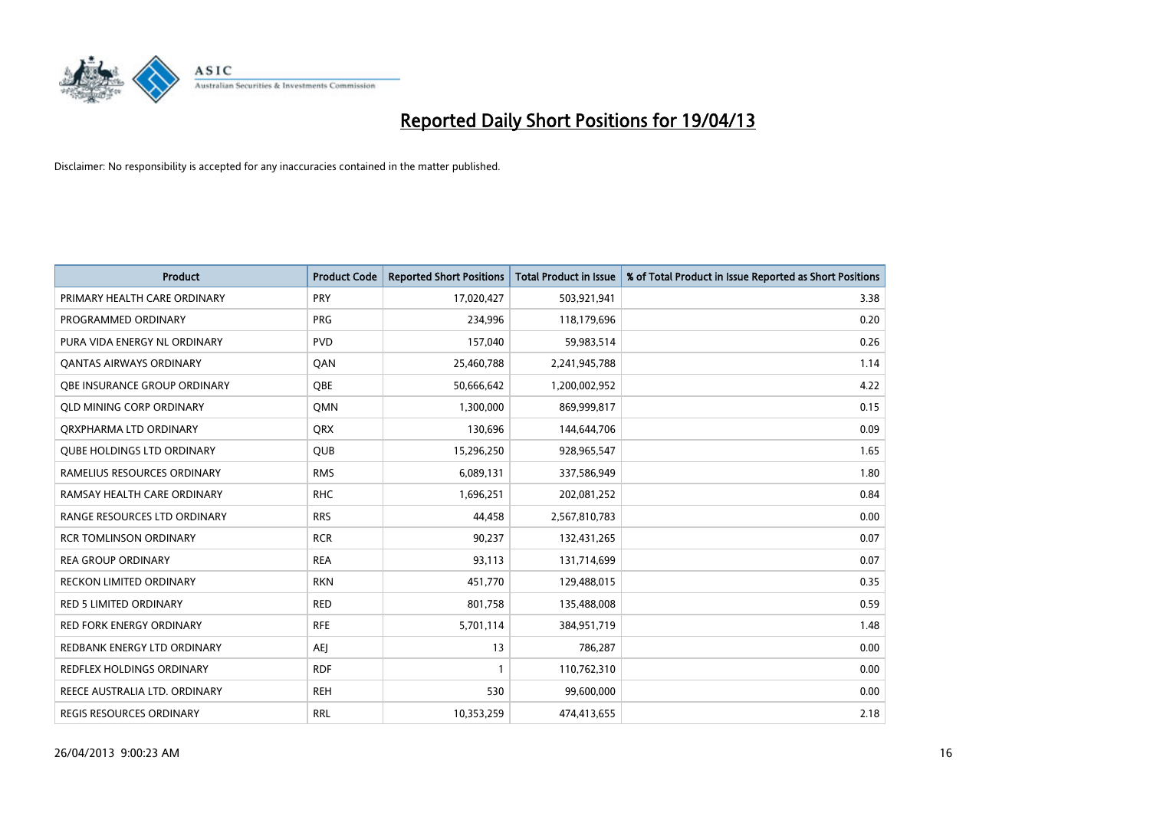

| <b>Product</b>                    | <b>Product Code</b> | <b>Reported Short Positions</b> | <b>Total Product in Issue</b> | % of Total Product in Issue Reported as Short Positions |
|-----------------------------------|---------------------|---------------------------------|-------------------------------|---------------------------------------------------------|
| PRIMARY HEALTH CARE ORDINARY      | <b>PRY</b>          | 17,020,427                      | 503,921,941                   | 3.38                                                    |
| PROGRAMMED ORDINARY               | <b>PRG</b>          | 234,996                         | 118,179,696                   | 0.20                                                    |
| PURA VIDA ENERGY NL ORDINARY      | <b>PVD</b>          | 157,040                         | 59,983,514                    | 0.26                                                    |
| <b>QANTAS AIRWAYS ORDINARY</b>    | QAN                 | 25,460,788                      | 2,241,945,788                 | 1.14                                                    |
| OBE INSURANCE GROUP ORDINARY      | <b>OBE</b>          | 50,666,642                      | 1,200,002,952                 | 4.22                                                    |
| <b>QLD MINING CORP ORDINARY</b>   | <b>OMN</b>          | 1,300,000                       | 869,999,817                   | 0.15                                                    |
| ORXPHARMA LTD ORDINARY            | <b>QRX</b>          | 130,696                         | 144,644,706                   | 0.09                                                    |
| <b>QUBE HOLDINGS LTD ORDINARY</b> | <b>QUB</b>          | 15,296,250                      | 928,965,547                   | 1.65                                                    |
| RAMELIUS RESOURCES ORDINARY       | <b>RMS</b>          | 6,089,131                       | 337,586,949                   | 1.80                                                    |
| RAMSAY HEALTH CARE ORDINARY       | <b>RHC</b>          | 1,696,251                       | 202,081,252                   | 0.84                                                    |
| RANGE RESOURCES LTD ORDINARY      | <b>RRS</b>          | 44,458                          | 2,567,810,783                 | 0.00                                                    |
| <b>RCR TOMLINSON ORDINARY</b>     | <b>RCR</b>          | 90,237                          | 132,431,265                   | 0.07                                                    |
| <b>REA GROUP ORDINARY</b>         | <b>REA</b>          | 93,113                          | 131,714,699                   | 0.07                                                    |
| <b>RECKON LIMITED ORDINARY</b>    | <b>RKN</b>          | 451,770                         | 129,488,015                   | 0.35                                                    |
| <b>RED 5 LIMITED ORDINARY</b>     | <b>RED</b>          | 801,758                         | 135,488,008                   | 0.59                                                    |
| RED FORK ENERGY ORDINARY          | <b>RFE</b>          | 5,701,114                       | 384,951,719                   | 1.48                                                    |
| REDBANK ENERGY LTD ORDINARY       | <b>AEJ</b>          | 13                              | 786,287                       | 0.00                                                    |
| REDFLEX HOLDINGS ORDINARY         | <b>RDF</b>          | $\mathbf{1}$                    | 110,762,310                   | 0.00                                                    |
| REECE AUSTRALIA LTD. ORDINARY     | <b>REH</b>          | 530                             | 99,600,000                    | 0.00                                                    |
| REGIS RESOURCES ORDINARY          | <b>RRL</b>          | 10,353,259                      | 474,413,655                   | 2.18                                                    |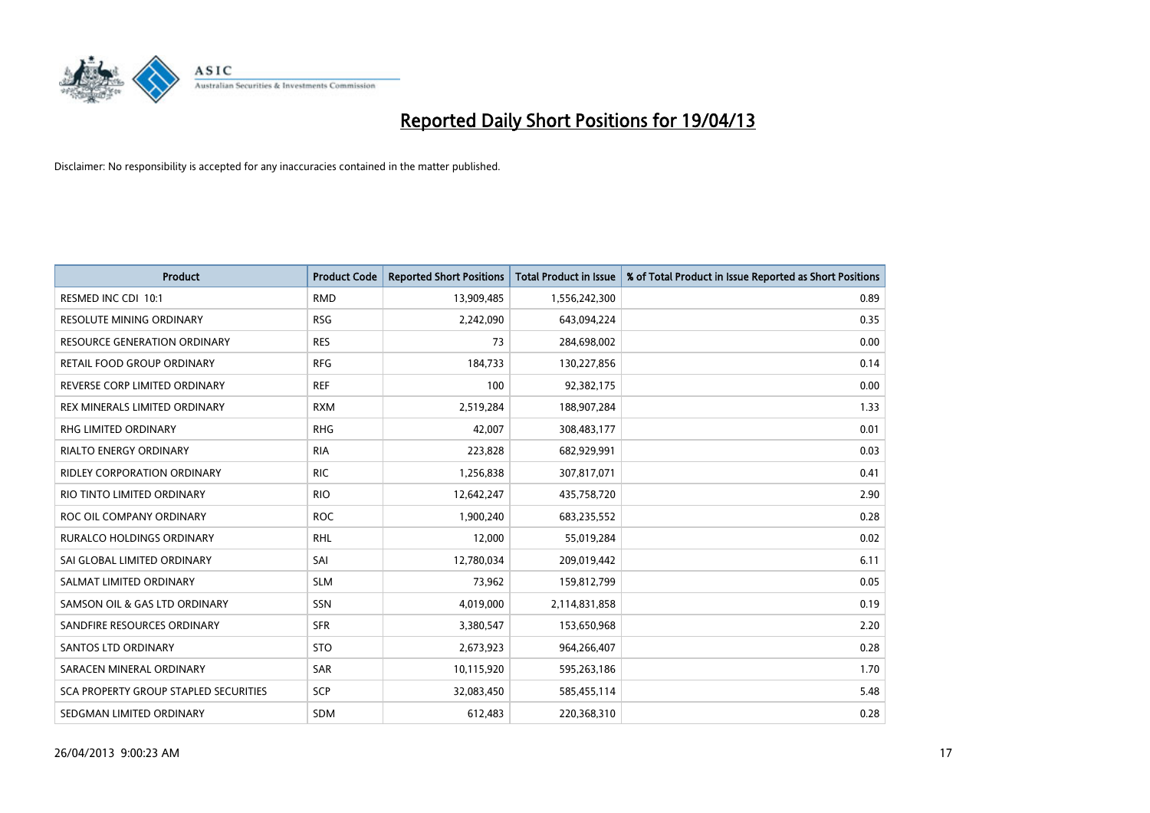

| <b>Product</b>                        | <b>Product Code</b> | <b>Reported Short Positions</b> | <b>Total Product in Issue</b> | % of Total Product in Issue Reported as Short Positions |
|---------------------------------------|---------------------|---------------------------------|-------------------------------|---------------------------------------------------------|
| RESMED INC CDI 10:1                   | <b>RMD</b>          | 13,909,485                      | 1,556,242,300                 | 0.89                                                    |
| RESOLUTE MINING ORDINARY              | <b>RSG</b>          | 2,242,090                       | 643,094,224                   | 0.35                                                    |
| <b>RESOURCE GENERATION ORDINARY</b>   | <b>RES</b>          | 73                              | 284,698,002                   | 0.00                                                    |
| RETAIL FOOD GROUP ORDINARY            | <b>RFG</b>          | 184,733                         | 130,227,856                   | 0.14                                                    |
| REVERSE CORP LIMITED ORDINARY         | <b>REF</b>          | 100                             | 92,382,175                    | 0.00                                                    |
| REX MINERALS LIMITED ORDINARY         | <b>RXM</b>          | 2,519,284                       | 188,907,284                   | 1.33                                                    |
| RHG LIMITED ORDINARY                  | <b>RHG</b>          | 42,007                          | 308,483,177                   | 0.01                                                    |
| RIALTO ENERGY ORDINARY                | <b>RIA</b>          | 223,828                         | 682,929,991                   | 0.03                                                    |
| <b>RIDLEY CORPORATION ORDINARY</b>    | <b>RIC</b>          | 1,256,838                       | 307,817,071                   | 0.41                                                    |
| RIO TINTO LIMITED ORDINARY            | <b>RIO</b>          | 12,642,247                      | 435,758,720                   | 2.90                                                    |
| ROC OIL COMPANY ORDINARY              | <b>ROC</b>          | 1,900,240                       | 683,235,552                   | 0.28                                                    |
| <b>RURALCO HOLDINGS ORDINARY</b>      | <b>RHL</b>          | 12,000                          | 55,019,284                    | 0.02                                                    |
| SAI GLOBAL LIMITED ORDINARY           | SAI                 | 12,780,034                      | 209,019,442                   | 6.11                                                    |
| SALMAT LIMITED ORDINARY               | <b>SLM</b>          | 73,962                          | 159,812,799                   | 0.05                                                    |
| SAMSON OIL & GAS LTD ORDINARY         | SSN                 | 4,019,000                       | 2,114,831,858                 | 0.19                                                    |
| SANDFIRE RESOURCES ORDINARY           | <b>SFR</b>          | 3,380,547                       | 153,650,968                   | 2.20                                                    |
| <b>SANTOS LTD ORDINARY</b>            | <b>STO</b>          | 2,673,923                       | 964,266,407                   | 0.28                                                    |
| SARACEN MINERAL ORDINARY              | <b>SAR</b>          | 10,115,920                      | 595,263,186                   | 1.70                                                    |
| SCA PROPERTY GROUP STAPLED SECURITIES | <b>SCP</b>          | 32,083,450                      | 585,455,114                   | 5.48                                                    |
| SEDGMAN LIMITED ORDINARY              | <b>SDM</b>          | 612,483                         | 220,368,310                   | 0.28                                                    |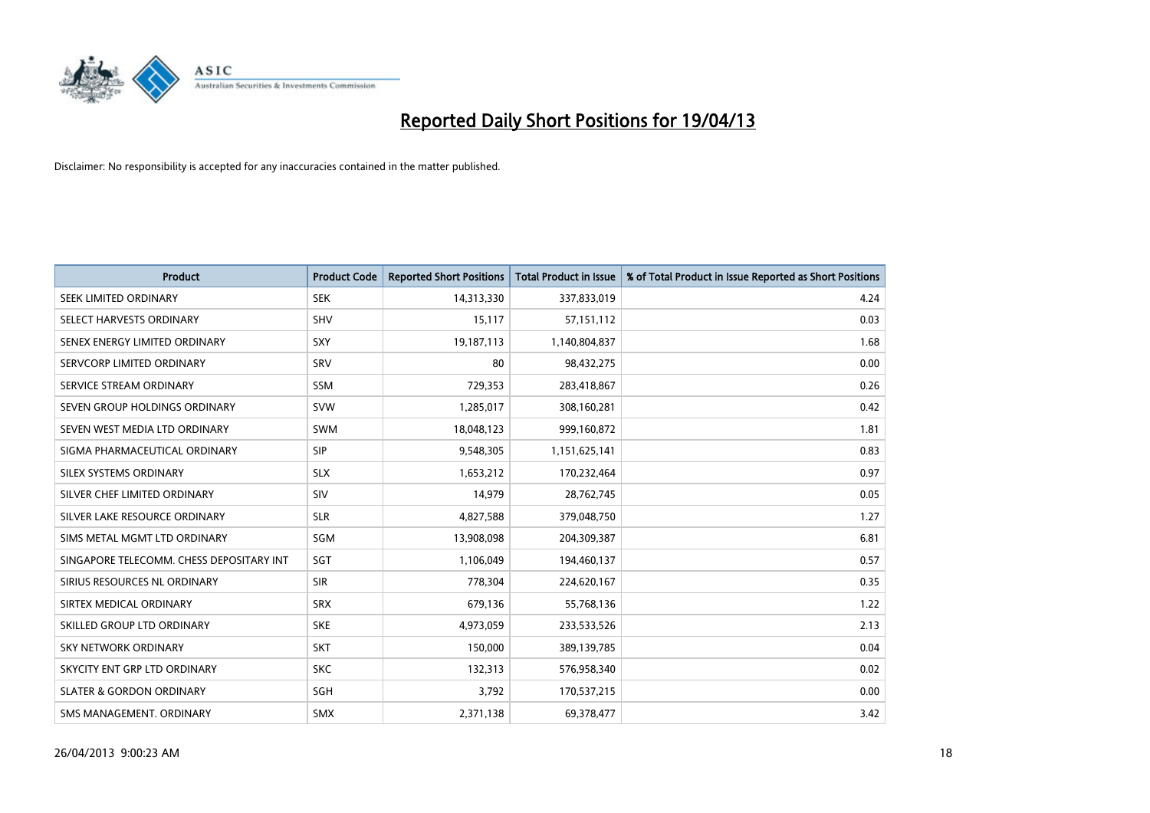

| <b>Product</b>                           | <b>Product Code</b> | <b>Reported Short Positions</b> | <b>Total Product in Issue</b> | % of Total Product in Issue Reported as Short Positions |
|------------------------------------------|---------------------|---------------------------------|-------------------------------|---------------------------------------------------------|
| SEEK LIMITED ORDINARY                    | <b>SEK</b>          | 14,313,330                      | 337,833,019                   | 4.24                                                    |
| SELECT HARVESTS ORDINARY                 | SHV                 | 15,117                          | 57,151,112                    | 0.03                                                    |
| SENEX ENERGY LIMITED ORDINARY            | <b>SXY</b>          | 19,187,113                      | 1,140,804,837                 | 1.68                                                    |
| SERVCORP LIMITED ORDINARY                | SRV                 | 80                              | 98,432,275                    | 0.00                                                    |
| SERVICE STREAM ORDINARY                  | SSM                 | 729,353                         | 283,418,867                   | 0.26                                                    |
| SEVEN GROUP HOLDINGS ORDINARY            | <b>SVW</b>          | 1,285,017                       | 308,160,281                   | 0.42                                                    |
| SEVEN WEST MEDIA LTD ORDINARY            | SWM                 | 18,048,123                      | 999,160,872                   | 1.81                                                    |
| SIGMA PHARMACEUTICAL ORDINARY            | <b>SIP</b>          | 9,548,305                       | 1,151,625,141                 | 0.83                                                    |
| SILEX SYSTEMS ORDINARY                   | <b>SLX</b>          | 1,653,212                       | 170,232,464                   | 0.97                                                    |
| SILVER CHEF LIMITED ORDINARY             | SIV                 | 14,979                          | 28,762,745                    | 0.05                                                    |
| SILVER LAKE RESOURCE ORDINARY            | <b>SLR</b>          | 4,827,588                       | 379,048,750                   | 1.27                                                    |
| SIMS METAL MGMT LTD ORDINARY             | SGM                 | 13,908,098                      | 204,309,387                   | 6.81                                                    |
| SINGAPORE TELECOMM. CHESS DEPOSITARY INT | SGT                 | 1,106,049                       | 194,460,137                   | 0.57                                                    |
| SIRIUS RESOURCES NL ORDINARY             | <b>SIR</b>          | 778,304                         | 224,620,167                   | 0.35                                                    |
| SIRTEX MEDICAL ORDINARY                  | <b>SRX</b>          | 679,136                         | 55,768,136                    | 1.22                                                    |
| SKILLED GROUP LTD ORDINARY               | <b>SKE</b>          | 4,973,059                       | 233,533,526                   | 2.13                                                    |
| SKY NETWORK ORDINARY                     | <b>SKT</b>          | 150,000                         | 389,139,785                   | 0.04                                                    |
| SKYCITY ENT GRP LTD ORDINARY             | <b>SKC</b>          | 132,313                         | 576,958,340                   | 0.02                                                    |
| <b>SLATER &amp; GORDON ORDINARY</b>      | SGH                 | 3,792                           | 170,537,215                   | 0.00                                                    |
| SMS MANAGEMENT, ORDINARY                 | SMX                 | 2,371,138                       | 69,378,477                    | 3.42                                                    |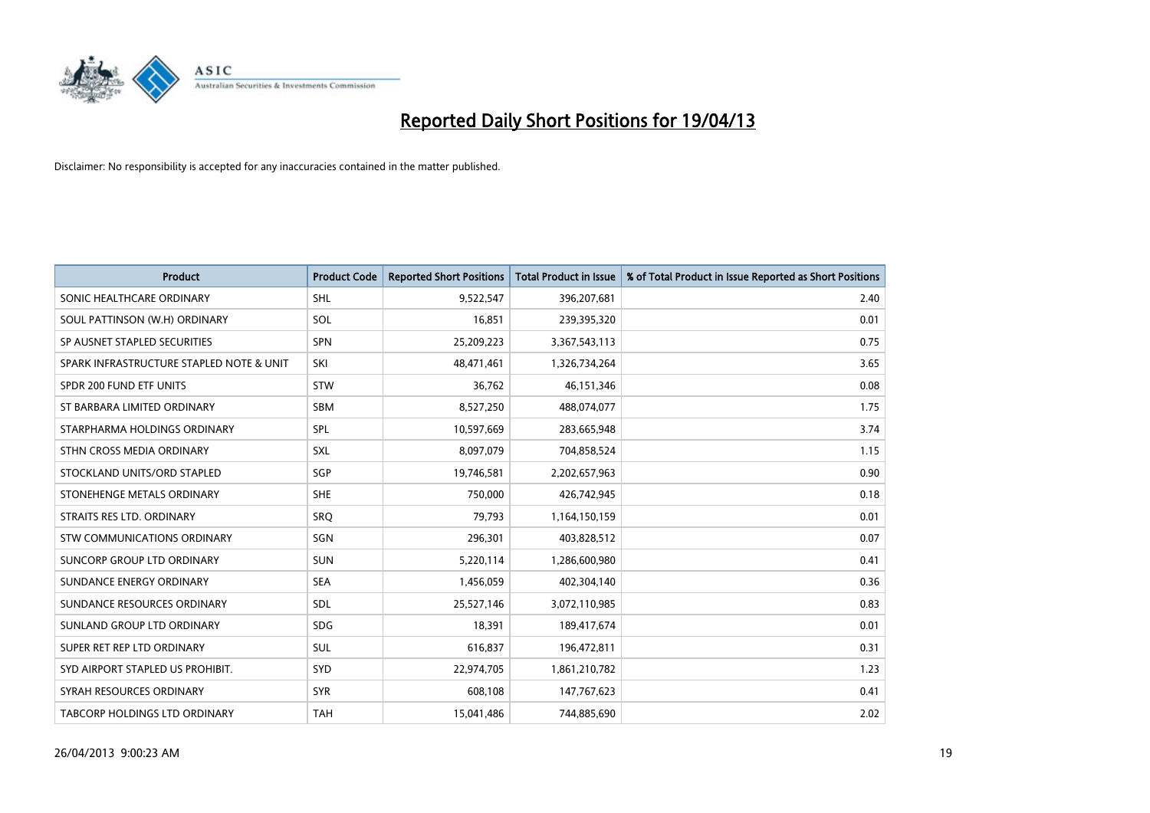

| <b>Product</b>                           | <b>Product Code</b> | <b>Reported Short Positions</b> | <b>Total Product in Issue</b> | % of Total Product in Issue Reported as Short Positions |
|------------------------------------------|---------------------|---------------------------------|-------------------------------|---------------------------------------------------------|
| SONIC HEALTHCARE ORDINARY                | <b>SHL</b>          | 9,522,547                       | 396,207,681                   | 2.40                                                    |
| SOUL PATTINSON (W.H) ORDINARY            | SOL                 | 16,851                          | 239,395,320                   | 0.01                                                    |
| SP AUSNET STAPLED SECURITIES             | <b>SPN</b>          | 25,209,223                      | 3,367,543,113                 | 0.75                                                    |
| SPARK INFRASTRUCTURE STAPLED NOTE & UNIT | SKI                 | 48,471,461                      | 1,326,734,264                 | 3.65                                                    |
| SPDR 200 FUND ETF UNITS                  | <b>STW</b>          | 36,762                          | 46,151,346                    | 0.08                                                    |
| ST BARBARA LIMITED ORDINARY              | SBM                 | 8,527,250                       | 488,074,077                   | 1.75                                                    |
| STARPHARMA HOLDINGS ORDINARY             | SPL                 | 10,597,669                      | 283,665,948                   | 3.74                                                    |
| STHN CROSS MEDIA ORDINARY                | <b>SXL</b>          | 8,097,079                       | 704,858,524                   | 1.15                                                    |
| STOCKLAND UNITS/ORD STAPLED              | SGP                 | 19,746,581                      | 2,202,657,963                 | 0.90                                                    |
| STONEHENGE METALS ORDINARY               | <b>SHE</b>          | 750,000                         | 426,742,945                   | 0.18                                                    |
| STRAITS RES LTD. ORDINARY                | SRQ                 | 79,793                          | 1,164,150,159                 | 0.01                                                    |
| STW COMMUNICATIONS ORDINARY              | SGN                 | 296,301                         | 403,828,512                   | 0.07                                                    |
| SUNCORP GROUP LTD ORDINARY               | <b>SUN</b>          | 5,220,114                       | 1,286,600,980                 | 0.41                                                    |
| SUNDANCE ENERGY ORDINARY                 | <b>SEA</b>          | 1,456,059                       | 402,304,140                   | 0.36                                                    |
| SUNDANCE RESOURCES ORDINARY              | SDL                 | 25,527,146                      | 3,072,110,985                 | 0.83                                                    |
| SUNLAND GROUP LTD ORDINARY               | <b>SDG</b>          | 18,391                          | 189,417,674                   | 0.01                                                    |
| SUPER RET REP LTD ORDINARY               | <b>SUL</b>          | 616,837                         | 196,472,811                   | 0.31                                                    |
| SYD AIRPORT STAPLED US PROHIBIT.         | SYD                 | 22,974,705                      | 1,861,210,782                 | 1.23                                                    |
| SYRAH RESOURCES ORDINARY                 | <b>SYR</b>          | 608,108                         | 147,767,623                   | 0.41                                                    |
| <b>TABCORP HOLDINGS LTD ORDINARY</b>     | <b>TAH</b>          | 15,041,486                      | 744,885,690                   | 2.02                                                    |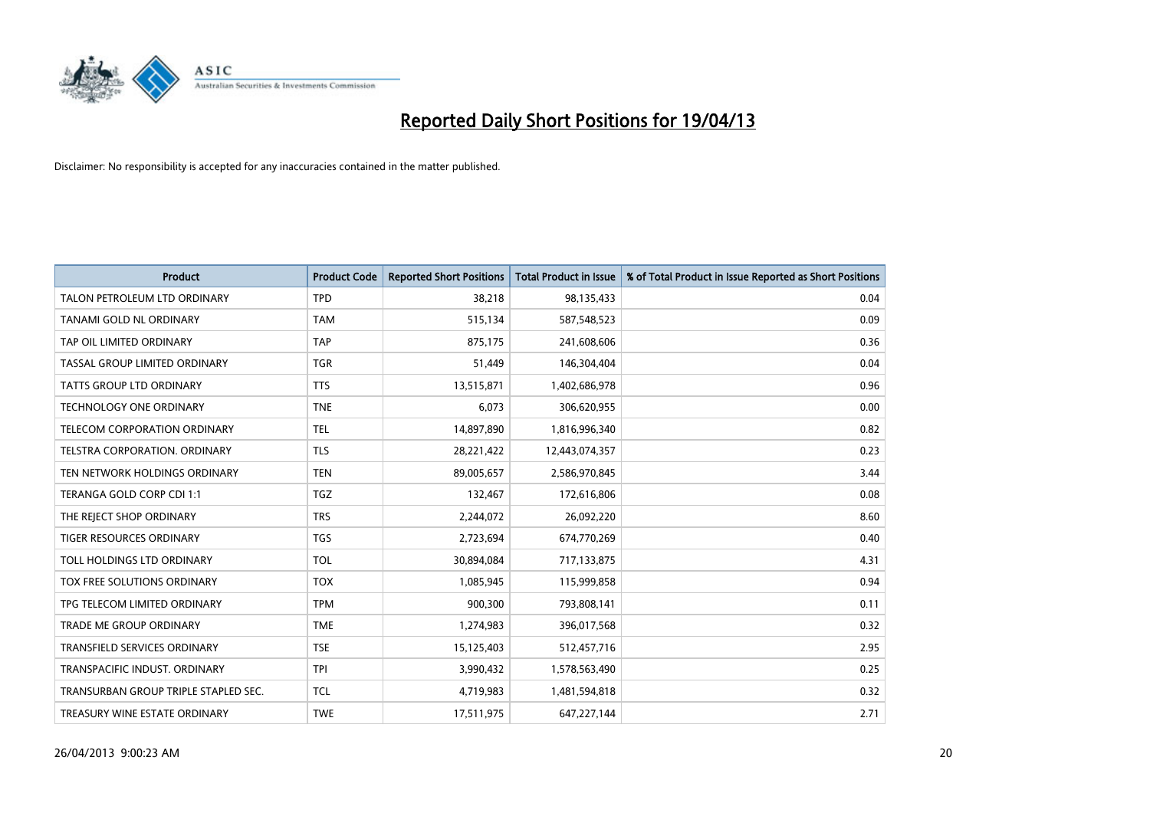

| <b>Product</b>                       | <b>Product Code</b> | <b>Reported Short Positions</b> | <b>Total Product in Issue</b> | % of Total Product in Issue Reported as Short Positions |
|--------------------------------------|---------------------|---------------------------------|-------------------------------|---------------------------------------------------------|
| TALON PETROLEUM LTD ORDINARY         | <b>TPD</b>          | 38,218                          | 98,135,433                    | 0.04                                                    |
| TANAMI GOLD NL ORDINARY              | <b>TAM</b>          | 515,134                         | 587,548,523                   | 0.09                                                    |
| TAP OIL LIMITED ORDINARY             | <b>TAP</b>          | 875,175                         | 241,608,606                   | 0.36                                                    |
| TASSAL GROUP LIMITED ORDINARY        | <b>TGR</b>          | 51,449                          | 146,304,404                   | 0.04                                                    |
| <b>TATTS GROUP LTD ORDINARY</b>      | <b>TTS</b>          | 13,515,871                      | 1,402,686,978                 | 0.96                                                    |
| <b>TECHNOLOGY ONE ORDINARY</b>       | <b>TNE</b>          | 6,073                           | 306,620,955                   | 0.00                                                    |
| TELECOM CORPORATION ORDINARY         | <b>TEL</b>          | 14,897,890                      | 1,816,996,340                 | 0.82                                                    |
| TELSTRA CORPORATION, ORDINARY        | <b>TLS</b>          | 28,221,422                      | 12,443,074,357                | 0.23                                                    |
| TEN NETWORK HOLDINGS ORDINARY        | <b>TEN</b>          | 89,005,657                      | 2,586,970,845                 | 3.44                                                    |
| TERANGA GOLD CORP CDI 1:1            | <b>TGZ</b>          | 132,467                         | 172,616,806                   | 0.08                                                    |
| THE REJECT SHOP ORDINARY             | <b>TRS</b>          | 2,244,072                       | 26,092,220                    | 8.60                                                    |
| <b>TIGER RESOURCES ORDINARY</b>      | <b>TGS</b>          | 2,723,694                       | 674,770,269                   | 0.40                                                    |
| TOLL HOLDINGS LTD ORDINARY           | <b>TOL</b>          | 30,894,084                      | 717,133,875                   | 4.31                                                    |
| TOX FREE SOLUTIONS ORDINARY          | <b>TOX</b>          | 1,085,945                       | 115,999,858                   | 0.94                                                    |
| TPG TELECOM LIMITED ORDINARY         | <b>TPM</b>          | 900,300                         | 793,808,141                   | 0.11                                                    |
| <b>TRADE ME GROUP ORDINARY</b>       | <b>TME</b>          | 1,274,983                       | 396,017,568                   | 0.32                                                    |
| TRANSFIELD SERVICES ORDINARY         | <b>TSE</b>          | 15,125,403                      | 512,457,716                   | 2.95                                                    |
| TRANSPACIFIC INDUST, ORDINARY        | <b>TPI</b>          | 3,990,432                       | 1,578,563,490                 | 0.25                                                    |
| TRANSURBAN GROUP TRIPLE STAPLED SEC. | <b>TCL</b>          | 4,719,983                       | 1,481,594,818                 | 0.32                                                    |
| TREASURY WINE ESTATE ORDINARY        | <b>TWE</b>          | 17,511,975                      | 647,227,144                   | 2.71                                                    |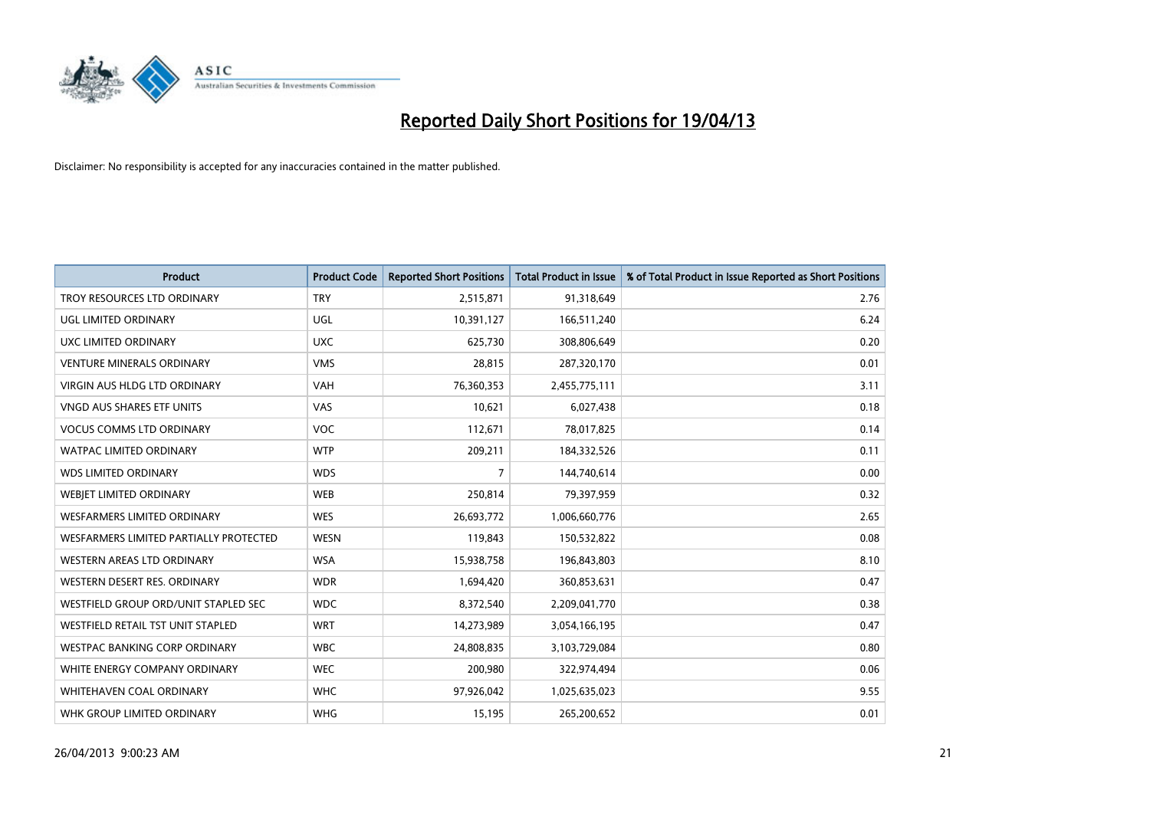

| <b>Product</b>                         | <b>Product Code</b> | <b>Reported Short Positions</b> | <b>Total Product in Issue</b> | % of Total Product in Issue Reported as Short Positions |
|----------------------------------------|---------------------|---------------------------------|-------------------------------|---------------------------------------------------------|
| TROY RESOURCES LTD ORDINARY            | <b>TRY</b>          | 2,515,871                       | 91,318,649                    | 2.76                                                    |
| UGL LIMITED ORDINARY                   | UGL                 | 10,391,127                      | 166,511,240                   | 6.24                                                    |
| UXC LIMITED ORDINARY                   | <b>UXC</b>          | 625,730                         | 308,806,649                   | 0.20                                                    |
| <b>VENTURE MINERALS ORDINARY</b>       | <b>VMS</b>          | 28,815                          | 287,320,170                   | 0.01                                                    |
| <b>VIRGIN AUS HLDG LTD ORDINARY</b>    | <b>VAH</b>          | 76,360,353                      | 2,455,775,111                 | 3.11                                                    |
| <b>VNGD AUS SHARES ETF UNITS</b>       | VAS                 | 10,621                          | 6,027,438                     | 0.18                                                    |
| <b>VOCUS COMMS LTD ORDINARY</b>        | <b>VOC</b>          | 112,671                         | 78,017,825                    | 0.14                                                    |
| WATPAC LIMITED ORDINARY                | <b>WTP</b>          | 209,211                         | 184,332,526                   | 0.11                                                    |
| <b>WDS LIMITED ORDINARY</b>            | <b>WDS</b>          | $\overline{7}$                  | 144,740,614                   | 0.00                                                    |
| WEBJET LIMITED ORDINARY                | <b>WEB</b>          | 250,814                         | 79,397,959                    | 0.32                                                    |
| WESFARMERS LIMITED ORDINARY            | <b>WES</b>          | 26,693,772                      | 1,006,660,776                 | 2.65                                                    |
| WESFARMERS LIMITED PARTIALLY PROTECTED | <b>WESN</b>         | 119,843                         | 150,532,822                   | 0.08                                                    |
| WESTERN AREAS LTD ORDINARY             | <b>WSA</b>          | 15,938,758                      | 196,843,803                   | 8.10                                                    |
| WESTERN DESERT RES. ORDINARY           | <b>WDR</b>          | 1,694,420                       | 360,853,631                   | 0.47                                                    |
| WESTFIELD GROUP ORD/UNIT STAPLED SEC   | <b>WDC</b>          | 8,372,540                       | 2,209,041,770                 | 0.38                                                    |
| WESTFIELD RETAIL TST UNIT STAPLED      | <b>WRT</b>          | 14,273,989                      | 3,054,166,195                 | 0.47                                                    |
| <b>WESTPAC BANKING CORP ORDINARY</b>   | <b>WBC</b>          | 24,808,835                      | 3,103,729,084                 | 0.80                                                    |
| WHITE ENERGY COMPANY ORDINARY          | <b>WEC</b>          | 200,980                         | 322,974,494                   | 0.06                                                    |
| WHITEHAVEN COAL ORDINARY               | <b>WHC</b>          | 97,926,042                      | 1,025,635,023                 | 9.55                                                    |
| WHK GROUP LIMITED ORDINARY             | <b>WHG</b>          | 15,195                          | 265,200,652                   | 0.01                                                    |